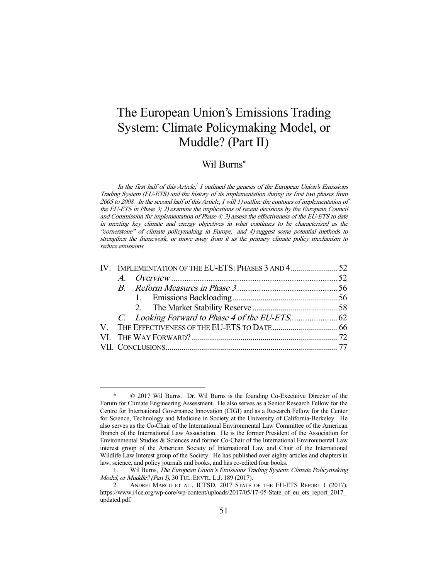# The European Union's Emissions Trading System: Climate Policymaking Model, or Muddle? (Part II)

# Wil Burns\*

In the first half of this Article,<sup> $1$ </sup> outlined the genesis of the European Union's Emissions Trading System (EU-ETS) and the history of its implementation during its first two phases from 2005 to 2008. In the second half of this Article, I will 1) outline the contours of implementation of the EU-ETS in Phase 3; 2) examine the implications of recent decisions by the European Council and Commission for implementation of Phase 4; 3) assess the effectiveness of the EU-ETS to date in meeting key climate and energy objectives in what continues to be characterized as the "cornerstone" of climate policymaking in Europe, $^2$  and 4) suggest some potential methods to strengthen the framework, or move away from it as the primary climate policy mechanism to reduce emissions.

<sup>-</sup> \* © 2017 Wil Burns. Dr. Wil Burns is the founding Co-Executive Director of the Forum for Climate Engineering Assessment. He also serves as a Senior Research Fellow for the Centre for International Governance Innovation (CIGI) and as a Research Fellow for the Center for Science, Technology and Medicine in Society at the University of California-Berkeley. He also serves as the Co-Chair of the International Environmental Law Committee of the American Branch of the International Law Association. He is the former President of the Association for Environmental Studies & Sciences and former Co-Chair of the International Environmental Law interest group of the American Society of International Law and Chair of the International Wildlife Law Interest group of the Society. He has published over eighty articles and chapters in law, science, and policy journals and books, and has co-edited four books.

Wil Burns, The European Union's Emissions Trading System: Climate Policymaking Model, or Muddle? (Part I), 30 TUL. ENVTL.L.J. 189 (2017).

 <sup>2.</sup> ANDREI MARCU ET AL., ICTSD, 2017 STATE OF THE EU-ETS REPORT 1 (2017), https://www.i4ce.org/wp-core/wp-content/uploads/2017/05/17-05-State\_of\_eu\_ets\_report\_2017\_ updated.pdf.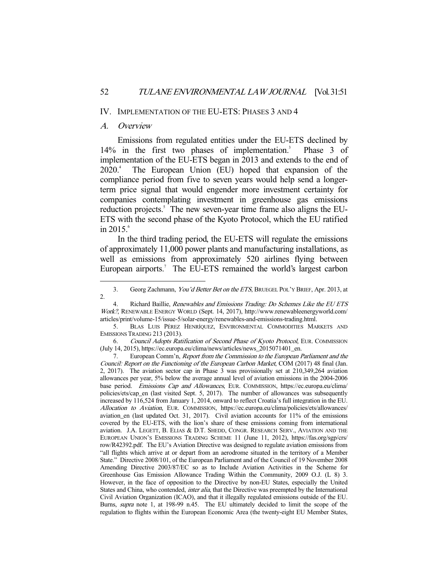#### IV. IMPLEMENTATION OF THE EU-ETS: PHASES 3 AND 4

### A. Overview

-

 Emissions from regulated entities under the EU-ETS declined by  $14\%$  in the first two phases of implementation.<sup>3</sup> Phase 3 of implementation of the EU-ETS began in 2013 and extends to the end of  $2020.<sup>4</sup>$  The European Union (EU) hoped that expansion of the compliance period from five to seven years would help send a longerterm price signal that would engender more investment certainty for companies contemplating investment in greenhouse gas emissions reduction projects.<sup>5</sup> The new seven-year time frame also aligns the EU-ETS with the second phase of the Kyoto Protocol, which the EU ratified in  $2015$ .<sup>6</sup>

 In the third trading period, the EU-ETS will regulate the emissions of approximately 11,000 power plants and manufacturing installations, as well as emissions from approximately 520 airlines flying between European airports.<sup>7</sup> The EU-ETS remained the world's largest carbon

<sup>3.</sup> Georg Zachmann, You'd Better Bet on the ETS, BRUEGEL POL'Y BRIEF, Apr. 2013, at 2.

Richard Baillie, Renewables and Emissions Trading: Do Schemes Like the EU ETS Work?, RENEWABLE ENERGY WORLD (Sept. 14, 2017), http://www.renewableenergyworld.com/ articles/print/volume-15/issue-5/solar-energy/renewables-and-emissions-trading.html.

 <sup>5.</sup> BLAS LUIS PÉREZ HENRÍQUEZ, ENVIRONMENTAL COMMODITIES MARKETS AND EMISSIONS TRADING 213 (2013).

 <sup>6.</sup> Council Adopts Ratification of Second Phase of Kyoto Protocol, EUR. COMMISSION (July 14, 2015), https://ec.europa.eu/clima/news/articles/news\_2015071401\_en.

 <sup>7.</sup> European Comm'n, Report from the Commission to the European Parliament and the Council: Report on the Functioning of the European Carbon Market, COM (2017) 48 final (Jan. 2, 2017). The aviation sector cap in Phase 3 was provisionally set at 210,349,264 aviation allowances per year, 5% below the average annual level of aviation emissions in the 2004-2006 base period. Emissions Cap and Allowances, EUR. COMMISSION, https://ec.europa.eu/clima/ policies/ets/cap\_en (last visited Sept. 5, 2017). The number of allowances was subsequently increased by 116,524 from January 1, 2014, onward to reflect Croatia's full integration in the EU. Allocation to Aviation, EUR. COMMISSION, https://ec.europa.eu/clima/policies/ets/allowances/ aviation\_en (last updated Oct. 31, 2017). Civil aviation accounts for 11% of the emissions covered by the EU-ETS, with the lion's share of these emissions coming from international aviation. J.A. LEGETT, B. ELIAS & D.T. SHEDD, CONGR. RESEARCH SERV., AVIATION AND THE EUROPEAN UNION'S EMISSIONS TRADING SCHEME 11 (June 11, 2012), https://fas.org/sgp/crs/ row/R42392.pdf. The EU's Aviation Directive was designed to regulate aviation emissions from "all flights which arrive at or depart from an aerodrome situated in the territory of a Member State." Directive 2008/101, of the European Parliament and of the Council of 19 November 2008 Amending Directive 2003/87/EC so as to Include Aviation Activities in the Scheme for Greenhouse Gas Emission Allowance Trading Within the Community, 2009 O.J. (L 8) 3. However, in the face of opposition to the Directive by non-EU States, especially the United States and China, who contended, inter alia, that the Directive was preempted by the International Civil Aviation Organization (ICAO), and that it illegally regulated emissions outside of the EU. Burns, supra note 1, at 198-99 n.45. The EU ultimately decided to limit the scope of the regulation to flights within the European Economic Area (the twenty-eight EU Member States,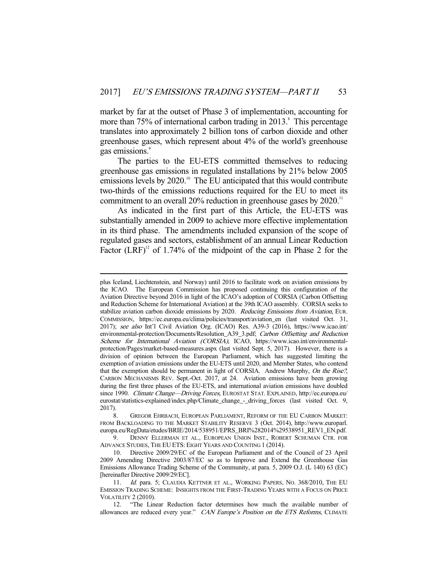market by far at the outset of Phase 3 of implementation, accounting for more than  $75\%$  of international carbon trading in 2013. $^8$  This percentage translates into approximately 2 billion tons of carbon dioxide and other greenhouse gases, which represent about 4% of the world's greenhouse gas emissions.<sup>9</sup>

 The parties to the EU-ETS committed themselves to reducing greenhouse gas emissions in regulated installations by 21% below 2005 emissions levels by 2020.<sup>10</sup> The EU anticipated that this would contribute two-thirds of the emissions reductions required for the EU to meet its commitment to an overall 20% reduction in greenhouse gases by 2020.<sup>11</sup>

 As indicated in the first part of this Article, the EU-ETS was substantially amended in 2009 to achieve more effective implementation in its third phase. The amendments included expansion of the scope of regulated gases and sectors, establishment of an annual Linear Reduction Factor  $(LRF)^{12}$  of 1.74% of the midpoint of the cap in Phase 2 for the

plus Iceland, Liechtenstein, and Norway) until 2016 to facilitate work on aviation emissions by the ICAO. The European Commission has proposed continuing this configuration of the Aviation Directive beyond 2016 in light of the ICAO's adoption of CORSIA (Carbon Offsetting and Reduction Scheme for International Aviation) at the 39th ICAO assembly. CORSIA seeks to stabilize aviation carbon dioxide emissions by 2020. Reducing Emissions from Aviation, EUR. COMMISSION, https://ec.europa.eu/clima/policies/transport/aviation\_en (last visited Oct. 31, 2017); see also Int'l Civil Aviation Org. (ICAO) Res. A39-3 (2016), https://www.icao.int/ environmental-protection/Documents/Resolution A39\_3.pdf; Carbon Offsetting and Reduction Scheme for International Aviation (CORSIA), ICAO, https://www.icao.int/environmentalprotection/Pages/market-based-measures.aspx (last visited Sept. 5, 2017). However, there is a division of opinion between the European Parliament, which has suggested limiting the exemption of aviation emissions under the EU-ETS until 2020, and Member States, who contend that the exemption should be permanent in light of CORSIA. Andrew Murphy, On the Rise?, CARBON MECHANISMS REV. Sept.-Oct. 2017, at 24. Aviation emissions have been growing during the first three phases of the EU-ETS, and international aviation emissions have doubled since 1990. Climate Change—Driving Forces, EUROSTAT STAT. EXPLAINED, http://ec.europa.eu/ eurostat/statistics-explained/index.php/Climate\_change\_-\_driving\_forces (last visited Oct. 9, 2017).

 <sup>8.</sup> GREGOR EHRBACH, EUROPEAN PARLIAMENT, REFORM OF THE EU CARBON MARKET: FROM BACKLOADING TO THE MARKET STABILITY RESERVE 3 (Oct. 2014), http://www.europarl. europa.eu/RegData/etudes/BRIE/2014/538951/EPRS\_BRI%282014%29538951\_REV1\_EN.pdf.

 <sup>9.</sup> DENNY ELLERMAN ET AL., EUROPEAN UNION INST., ROBERT SCHUMAN CTR. FOR ADVANCE STUDIES, THE EU ETS: EIGHT YEARS AND COUNTING 1 (2014).

 <sup>10.</sup> Directive 2009/29/EC of the European Parliament and of the Council of 23 April 2009 Amending Directive 2003/87/EC so as to Improve and Extend the Greenhouse Gas Emissions Allowance Trading Scheme of the Community, at para. 5, 2009 O.J. (L 140) 63 (EC) [hereinafter Directive 2009/29/EC].

<sup>11.</sup> Id. para. 5; CLAUDIA KETTNER ET AL., WORKING PAPERS, No. 368/2010, THE EU EMISSION TRADING SCHEME: INSIGHTS FROM THE FIRST-TRADING YEARS WITH A FOCUS ON PRICE VOLATILITY 2 (2010).

 <sup>12. &</sup>quot;The Linear Reduction factor determines how much the available number of allowances are reduced every year." CAN Europe's Position on the ETS Reforms, CLIMATE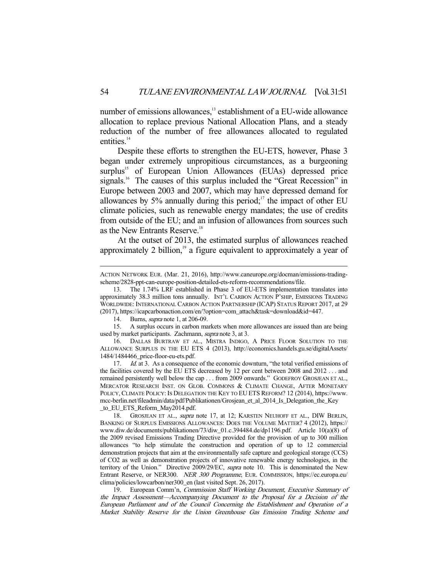number of emissions allowances,<sup>13</sup> establishment of a EU-wide allowance allocation to replace previous National Allocation Plans, and a steady reduction of the number of free allowances allocated to regulated entities.<sup>14</sup>

 Despite these efforts to strengthen the EU-ETS, however, Phase 3 began under extremely unpropitious circumstances, as a burgeoning surplus<sup>15</sup> of European Union Allowances (EUAs) depressed price signals.<sup>16</sup> The causes of this surplus included the "Great Recession" in Europe between 2003 and 2007, which may have depressed demand for allowances by 5% annually during this period;<sup>17</sup> the impact of other EU climate policies, such as renewable energy mandates; the use of credits from outside of the EU; and an infusion of allowances from sources such as the New Entrants Reserve.<sup>18</sup>

 At the outset of 2013, the estimated surplus of allowances reached approximately 2 billion, $19$  a figure equivalent to approximately a year of

-

 15. A surplus occurs in carbon markets when more allowances are issued than are being used by market participants. Zachmann, supra note 3, at 3.

 16. DALLAS BURTRAW ET AL., MISTRA INDIGO, A PRICE FLOOR SOLUTION TO THE ALLOWANCE SURPLUS IN THE EU ETS 4 (2013), http://economics.handels.gu.se/digitalAssets/ 1484/1484466\_price-floor-eu-ets.pdf.

17. *Id.* at 3. As a consequence of the economic downturn, "the total verified emissions of the facilities covered by the EU ETS decreased by 12 per cent between 2008 and 2012 . . . and remained persistently well below the cap . . . from 2009 onwards." GODEFROY GROSJEAN ET AL., MERCATOR RESEARCH INST. ON GLOB. COMMONS & CLIMATE CHANGE, AFTER MONETARY POLICY, CLIMATE POLICY: IS DELEGATION THE KEY TO EU ETS REFORM? 12 (2014), https://www. mcc-berlin.net/fileadmin/data/pdf/Publikationen/Grosjean\_et\_al\_2014\_Is\_Delegation\_the\_Key \_to\_EU\_ETS\_Reform\_May2014.pdf.

ACTION NETWORK EUR. (Mar. 21, 2016), http://www.caneurope.org/docman/emissions-tradingscheme/2828-ppt-can-europe-position-detailed-ets-reform-recommendations/file.

 <sup>13.</sup> The 1.74% LRF established in Phase 3 of EU-ETS implementation translates into approximately 38.3 million tons annually. INT'L CARBON ACTION P'SHIP, EMISSIONS TRADING WORLDWIDE: INTERNATIONAL CARBON ACTION PARTNERSHIP (ICAP) STATUS REPORT 2017, at 29 (2017), https://icapcarbonaction.com/en/?option=com\_attach&task=download&id=447.

 <sup>14.</sup> Burns, supra note 1, at 206-09.

<sup>18.</sup> GROSJEAN ET AL., *supra* note 17, at 12; KARSTEN NEUHOFF ET AL., DIW BERLIN, BANKING OF SURPLUS EMISSIONS ALLOWANCES: DOES THE VOLUME MATTER? 4 (2012), https:// www.diw.de/documents/publikationen/73/diw\_01.c.394484.de/dp1196.pdf. Article 10(a)(8) of the 2009 revised Emissions Trading Directive provided for the provision of up to 300 million allowances "to help stimulate the construction and operation of up to 12 commercial demonstration projects that aim at the environmentally safe capture and geological storage (CCS) of CO2 as well as demonstration projects of innovative renewable energy technologies, in the territory of the Union." Directive 2009/29/EC, supra note 10. This is denominated the New Entrant Reserve, or NER300. NER 300 Programme, EUR. COMMISSION, https://ec.europa.eu/ clima/policies/lowcarbon/ner300\_en (last visited Sept. 26, 2017).

<sup>19.</sup> European Comm'n, Commission Staff Working Document, Executive Summary of the Impact Assessment—Accompanying Document to the Proposal for a Decision of the European Parliament and of the Council Concerning the Establishment and Operation of a Market Stability Reserve for the Union Greenhouse Gas Emission Trading Scheme and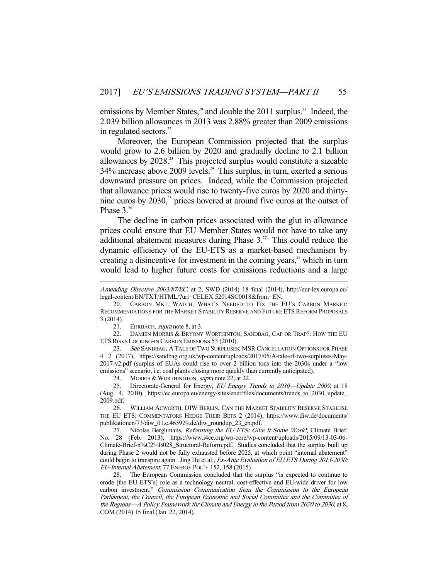emissions by Member States,<sup>20</sup> and double the 2011 surplus.<sup>21</sup> Indeed, the 2.039 billion allowances in 2013 was 2.88% greater than 2009 emissions in regulated sectors.<sup>22</sup>

 Moreover, the European Commission projected that the surplus would grow to 2.6 billion by 2020 and gradually decline to 2.1 billion allowances by  $2028<sup>23</sup>$ . This projected surplus would constitute a sizeable  $34\%$  increase above 2009 levels.<sup>24</sup> This surplus, in turn, exerted a serious downward pressure on prices. Indeed, while the Commission projected that allowance prices would rise to twenty-five euros by 2020 and thirtynine euros by 2030,<sup>25</sup> prices hovered at around five euros at the outset of Phase  $3^{26}$ 

 The decline in carbon prices associated with the glut in allowance prices could ensure that EU Member States would not have to take any additional abatement measures during Phase  $3<sup>27</sup>$ . This could reduce the dynamic efficiency of the EU-ETS as a market-based mechanism by creating a disincentive for investment in the coming years,<sup>28</sup> which in turn would lead to higher future costs for emissions reductions and a large

21. EHRBACH, *supra* note 8, at 3.

-

22. DAMIEN MORRIS & BRYONY WORTHINTON, SANDBAG, CAP OR TRAP?: HOW THE EU ETS RISKS LOCKING-IN CARBON EMISSIONS 53 (2010).

23. See SANDBAG, A TALE OF TWO SURPLUSES: MSR CANCELLATION OPTIONS FOR PHASE 4 2 (2017), https://sandbag.org.uk/wp-content/uploads/2017/05/A-tale-of-two-surpluses-May-2017-v2.pdf (surplus of EUAs could rise to over 2 billion tons into the 2030s under a "low emissions" scenario, i.e. coal plants closing more quickly than currently anticipated).

24. MORRIS & WORTHINGTON, *supra* note 22, at 22.

 26. WILLIAM ACWORTH, DIW BERLIN, CAN THE MARKET STABILITY RESERVE STABILISE THE EU ETS: COMMENTATORS HEDGE THEIR BETS 2 (2014), https://www.diw.de/documents/ publikationen/73/diw\_01.c.465929.de/diw\_roundup\_23\_en.pdf.

27. Nicolas Berghmans, Reforming the EU ETS: Give It Some Work!, Climate Brief, No. 28 (Feb. 2013), https://www.i4ce.org/wp-core/wp-content/uploads/2015/09/13-03-06- Climate-Brief-n%C2%B028\_Structural-Reform.pdf. Studies concluded that the surplus built up during Phase 2 would not be fully exhausted before 2025, at which point "internal abatement" could begin to transpire again. Jing Hu et al., Ex-Ante Evaluation of EU ETS During 2013-2030: EU-Internal Abatement, 77 ENERGY POL'Y 152, 158 (2015).

 28. The European Commission concluded that the surplus "is expected to continue to erode [the EU ETS's] role as a technology neutral, cost-effective and EU-wide driver for low carbon investment." Commission Communication from the Commission to the European Parliament, the Council, the European Economic and Social Committee and the Committee of the Regions—A Policy Framework for Climate and Energy in the Period from 2020 to 2030, at 8, COM (2014) 15 final (Jan. 22, 2014).

Amending Directive 2003/87/EC, at 2, SWD (2014) 18 final (2014), http://eur-lex.europa.eu/ legal-content/EN/TXT/HTML/?uri=CELEX:52014SC0018&from=EN.

 <sup>20.</sup> CARBON MKT. WATCH, WHAT'S NEEDED TO FIX THE EU'S CARBON MARKET: RECOMMENDATIONS FOR THE MARKET STABILITY RESERVE AND FUTURE ETS REFORM PROPOSALS 3 (2014).

<sup>25.</sup> Directorate-General for Energy, EU Energy Trends to 2030-Update 2009, at 18 (Aug. 4, 2010), https://ec.europa.eu/energy/sites/ener/files/documents/trends\_to\_2030\_update\_ 2009.pdf.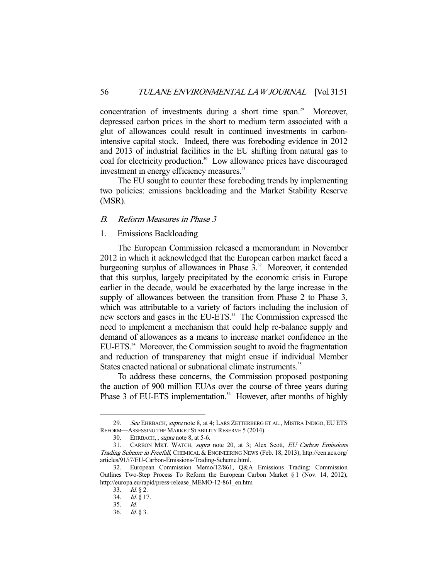concentration of investments during a short time span.<sup>29</sup> Moreover, depressed carbon prices in the short to medium term associated with a glut of allowances could result in continued investments in carbonintensive capital stock. Indeed, there was foreboding evidence in 2012 and 2013 of industrial facilities in the EU shifting from natural gas to coal for electricity production.<sup>30</sup> Low allowance prices have discouraged investment in energy efficiency measures.<sup>31</sup>

 The EU sought to counter these foreboding trends by implementing two policies: emissions backloading and the Market Stability Reserve (MSR).

# B. Reform Measures in Phase 3

# 1. Emissions Backloading

 The European Commission released a memorandum in November 2012 in which it acknowledged that the European carbon market faced a burgeoning surplus of allowances in Phase  $3<sup>32</sup>$  Moreover, it contended that this surplus, largely precipitated by the economic crisis in Europe earlier in the decade, would be exacerbated by the large increase in the supply of allowances between the transition from Phase 2 to Phase 3, which was attributable to a variety of factors including the inclusion of new sectors and gases in the EU-ETS.<sup>33</sup> The Commission expressed the need to implement a mechanism that could help re-balance supply and demand of allowances as a means to increase market confidence in the EU-ETS.<sup>34</sup> Moreover, the Commission sought to avoid the fragmentation and reduction of transparency that might ensue if individual Member States enacted national or subnational climate instruments.<sup>35</sup>

 To address these concerns, the Commission proposed postponing the auction of 900 million EUAs over the course of three years during Phase 3 of EU-ETS implementation.<sup>36</sup> However, after months of highly

<sup>29.</sup> See EHRBACH, supra note 8, at 4; LARS ZETTERBERG ET AL., MISTRA INDIGO, EU ETS REFORM—ASSESSING THE MARKET STABILITY RESERVE 5 (2014).

<sup>30.</sup> EHRBACH, , supra note 8, at 5-6.

<sup>31.</sup> CARBON MKT. WATCH, supra note 20, at 3; Alex Scott, EU Carbon Emissions Trading Scheme in Freefall, CHEMICAL & ENGINEERING NEWS (Feb. 18, 2013), http://cen.acs.org/ articles/91/i7/EU-Carbon-Emissions-Trading-Scheme.html.

 <sup>32.</sup> European Commission Memo/12/861, Q&A Emissions Trading: Commission Outlines Two-Step Process To Reform the European Carbon Market § 1 (Nov. 14, 2012), http://europa.eu/rapid/press-release\_MEMO-12-861\_en.htm

 <sup>33.</sup> Id. § 2.

 <sup>34.</sup> Id. § 17.

 <sup>35.</sup> Id.

 <sup>36.</sup> Id. § 3.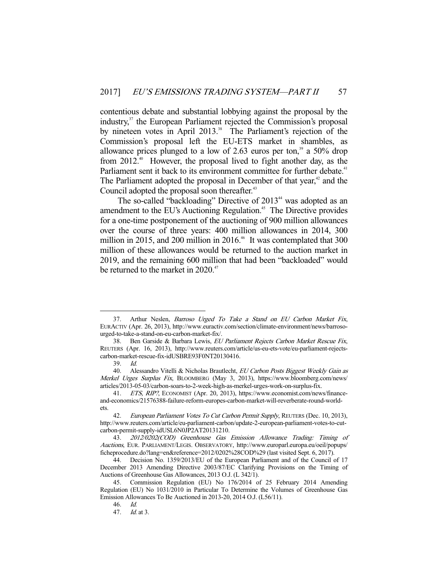contentious debate and substantial lobbying against the proposal by the industry,<sup>37</sup> the European Parliament rejected the Commission's proposal by nineteen votes in April 2013.<sup>38</sup> The Parliament's rejection of the Commission's proposal left the EU-ETS market in shambles, as allowance prices plunged to a low of  $2.63$  euros per ton,<sup>39</sup> a  $50\%$  drop from  $2012<sup>{40}</sup>$  However, the proposal lived to fight another day, as the Parliament sent it back to its environment committee for further debate.<sup>41</sup> The Parliament adopted the proposal in December of that year, $42$  and the Council adopted the proposal soon thereafter.<sup>43</sup>

The so-called "backloading" Directive of 2013<sup>44</sup> was adopted as an amendment to the EU's Auctioning Regulation.<sup>45</sup> The Directive provides for a one-time postponement of the auctioning of 900 million allowances over the course of three years: 400 million allowances in 2014, 300 million in 2015, and 200 million in  $2016<sup>46</sup>$  It was contemplated that 300 million of these allowances would be returned to the auction market in 2019, and the remaining 600 million that had been "backloaded" would be returned to the market in  $2020$ .<sup>47</sup>

<sup>37.</sup> Arthur Neslen, Barroso Urged To Take a Stand on EU Carbon Market Fix, EURACTIV (Apr. 26, 2013), http://www.euractiv.com/section/climate-environment/news/barrosourged-to-take-a-stand-on-eu-carbon-market-fix/.

<sup>38.</sup> Ben Garside & Barbara Lewis, EU Parliament Rejects Carbon Market Rescue Fix, REUTERS (Apr. 16, 2013), http://www.reuters.com/article/us-eu-ets-vote/eu-parliament-rejectscarbon-market-rescue-fix-idUSBRE93F0NT20130416.

 <sup>39.</sup> Id.

<sup>40.</sup> Alessandro Vitelli & Nicholas Brautlecht, EU Carbon Posts Biggest Weekly Gain as Merkel Urges Surplus Fix, BLOOMBERG (May 3, 2013), https://www.bloomberg.com/news/ articles/2013-05-03/carbon-soars-to-2-week-high-as-merkel-urges-work-on-surplus-fix.

 <sup>41.</sup> ETS, RIP?, ECONOMIST (Apr. 20, 2013), https://www.economist.com/news/financeand-economics/21576388-failure-reform-europes-carbon-market-will-reverberate-round-worldets.

<sup>42.</sup> European Parliament Votes To Cut Carbon Permit Supply, REUTERS (Dec. 10, 2013), http://www.reuters.com/article/eu-parliament-carbon/update-2-european-parliament-votes-to-cutcarbon-permit-supply-idUSL6N0JP2AT20131210.

 <sup>43.</sup> 2012/0202(COD) Greenhouse Gas Emission Allowance Trading: Timing of Auctions, EUR. PARLIAMENT/LEGIS. OBSERVATORY, http://www.europarl.europa.eu/oeil/popups/ ficheprocedure.do?lang=en&reference=2012/0202%28COD%29 (last visited Sept. 6, 2017).

 <sup>44.</sup> Decision No. 1359/2013/EU of the European Parliament and of the Council of 17 December 2013 Amending Directive 2003/87/EC Clarifying Provisions on the Timing of Auctions of Greenhouse Gas Allowances, 2013 O.J. (L 342/1).

 <sup>45.</sup> Commission Regulation (EU) No 176/2014 of 25 February 2014 Amending Regulation (EU) No 1031/2010 in Particular To Determine the Volumes of Greenhouse Gas Emission Allowances To Be Auctioned in 2013-20, 2014 O.J. (L56/11).

 <sup>46.</sup> Id.

 <sup>47.</sup> Id. at 3.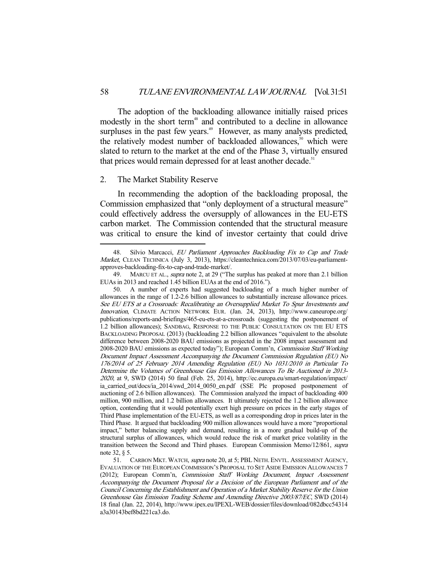The adoption of the backloading allowance initially raised prices modestly in the short term<sup>48</sup> and contributed to a decline in allowance surpluses in the past few years.<sup>49</sup> However, as many analysts predicted, the relatively modest number of backloaded allowances, $50$  which were slated to return to the market at the end of the Phase 3, virtually ensured that prices would remain depressed for at least another decade.<sup>51</sup>

#### 2. The Market Stability Reserve

-

 In recommending the adoption of the backloading proposal, the Commission emphasized that "only deployment of a structural measure" could effectively address the oversupply of allowances in the EU-ETS carbon market. The Commission contended that the structural measure was critical to ensure the kind of investor certainty that could drive

<sup>48.</sup> Silvio Marcacci, EU Parliament Approaches Backloading Fix to Cap and Trade Market, CLEAN TECHNICA (July 3, 2013), https://cleantechnica.com/2013/07/03/eu-parliamentapproves-backloading-fix-to-cap-and-trade-market/.

<sup>49.</sup> MARCU ET AL., *supra* note 2, at 29 ("The surplus has peaked at more than 2.1 billion EUAs in 2013 and reached 1.45 billion EUAs at the end of 2016.").

 <sup>50.</sup> A number of experts had suggested backloading of a much higher number of allowances in the range of 1.2-2.6 billion allowances to substantially increase allowance prices. See EU ETS at a Crossroads: Recalibrating an Oversupplied Market To Spur Investments and Innovation, CLIMATE ACTION NETWORK EUR. (Jan. 24, 2013), http://www.caneurope.org/ publications/reports-and-briefings/465-eu-ets-at-a-crossroads (suggesting the postponement of 1.2 billion allowances); SANDBAG, RESPONSE TO THE PUBLIC CONSULTATION ON THE EU ETS BACKLOADING PROPOSAL (2013) (backloading 2.2 billion allowances "equivalent to the absolute difference between 2008-2020 BAU emissions as projected in the 2008 impact assessment and 2008-2020 BAU emissions as expected today"); European Comm'n, Commission Staff Working Document Impact Assessment Accompanying the Document Commission Regulation (EU) No 176/2014 of 25 February 2014 Amending Regulation (EU) No 1031/2010 in Particular To Determine the Volumes of Greenhouse Gas Emission Allowances To Be Auctioned in 2013- <sup>2020</sup>, at 9, SWD (2014) 50 final (Feb. 25, 2014), http://ec.europa.eu/smart-regulation/impact/ ia\_carried\_out/docs/ia\_2014/swd\_2014\_0050\_en.pdf (SSE Plc proposed postponement of auctioning of 2.6 billion allowances). The Commission analyzed the impact of backloading 400 million, 900 million, and 1.2 billion allowances. It ultimately rejected the 1.2 billion allowance option, contending that it would potentially exert high pressure on prices in the early stages of Third Phase implementation of the EU-ETS, as well as a corresponding drop in prices later in the Third Phase. It argued that backloading 900 million allowances would have a more "proportional impact," better balancing supply and demand, resulting in a more gradual build-up of the structural surplus of allowances, which would reduce the risk of market price volatility in the transition between the Second and Third phases. European Commission Memo/12/861, supra note 32, § 5.

 <sup>51.</sup> CARBON MKT. WATCH, supra note 20, at 5; PBL NETH. ENVTL. ASSESSMENT AGENCY, EVALUATION OF THE EUROPEAN COMMISSION'S PROPOSAL TO SET ASIDE EMISSION ALLOWANCES 7 (2012); European Comm'n, Commission Staff Working Document, Impact Assessment Accompanying the Document Proposal for a Decision of the European Parliament and of the Council Concerning the Establishment and Operation of a Market Stability Reserve for the Union Greenhouse Gas Emission Trading Scheme and Amending Directive 2003/87/EC, SWD (2014) 18 final (Jan. 22, 2014), http://www.ipex.eu/IPEXL-WEB/dossier/files/download/082dbcc54314 a3a30143bef8bd221ca3.do.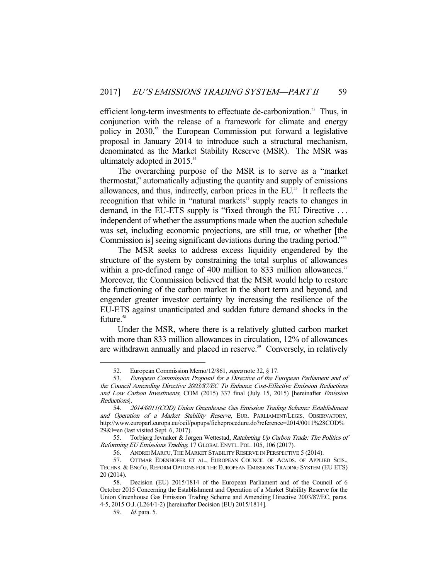efficient long-term investments to effectuate de-carbonization.<sup>52</sup> Thus, in conjunction with the release of a framework for climate and energy policy in 2030,<sup>53</sup> the European Commission put forward a legislative proposal in January 2014 to introduce such a structural mechanism, denominated as the Market Stability Reserve (MSR). The MSR was ultimately adopted in  $2015.^{54}$ 

 The overarching purpose of the MSR is to serve as a "market thermostat," automatically adjusting the quantity and supply of emissions allowances, and thus, indirectly, carbon prices in the EU.<sup>55</sup> It reflects the recognition that while in "natural markets" supply reacts to changes in demand, in the EU-ETS supply is "fixed through the EU Directive . . . independent of whether the assumptions made when the auction schedule was set, including economic projections, are still true, or whether [the Commission is] seeing significant deviations during the trading period."<sup>56</sup>

 The MSR seeks to address excess liquidity engendered by the structure of the system by constraining the total surplus of allowances within a pre-defined range of 400 million to 833 million allowances.<sup>57</sup> Moreover, the Commission believed that the MSR would help to restore the functioning of the carbon market in the short term and beyond, and engender greater investor certainty by increasing the resilience of the EU-ETS against unanticipated and sudden future demand shocks in the future.<sup>58</sup>

 Under the MSR, where there is a relatively glutted carbon market with more than 833 million allowances in circulation, 12% of allowances are withdrawn annually and placed in reserve.<sup>59</sup> Conversely, in relatively

<sup>52.</sup> European Commission Memo/12/861, *supra* note 32, § 17.

 <sup>53.</sup> European Commission Proposal for a Directive of the European Parliament and of the Council Amending Directive 2003/87/EC To Enhance Cost-Effective Emission Reductions and Low Carbon Investments, COM (2015) 337 final (July 15, 2015) [hereinafter Emission Reductions].

 <sup>54.</sup> 2014/0011(COD) Union Greenhouse Gas Emission Trading Scheme: Establishment and Operation of a Market Stability Reserve, EUR. PARLIAMENT/LEGIS. OBSERVATORY, http://www.europarl.europa.eu/oeil/popups/ficheprocedure.do?reference=2014/0011%28COD% 29&l=en (last visited Sept. 6, 2017).

<sup>55.</sup> Torbjørg Jevnaker & Jørgen Wettestad, Ratcheting Up Carbon Trade: The Politics of Reforming EU Emissions Trading, 17 GLOBAL ENVTL. POL. 105, 106 (2017).

 <sup>56.</sup> ANDREI MARCU, THE MARKET STABILITY RESERVE IN PERSPECTIVE 5 (2014).

 <sup>57.</sup> OTTMAR EDENHOFER ET AL., EUROPEAN COUNCIL OF ACADS. OF APPLIED SCIS., TECHNS. & ENG'G, REFORM OPTIONS FOR THE EUROPEAN EMISSIONS TRADING SYSTEM (EU ETS) 20 (2014).

 <sup>58.</sup> Decision (EU) 2015/1814 of the European Parliament and of the Council of 6 October 2015 Concerning the Establishment and Operation of a Market Stability Reserve for the Union Greenhouse Gas Emission Trading Scheme and Amending Directive 2003/87/EC, paras. 4-5, 2015 O.J.(L264/1-2) [hereinafter Decision (EU) 2015/1814].

 <sup>59.</sup> Id. para. 5.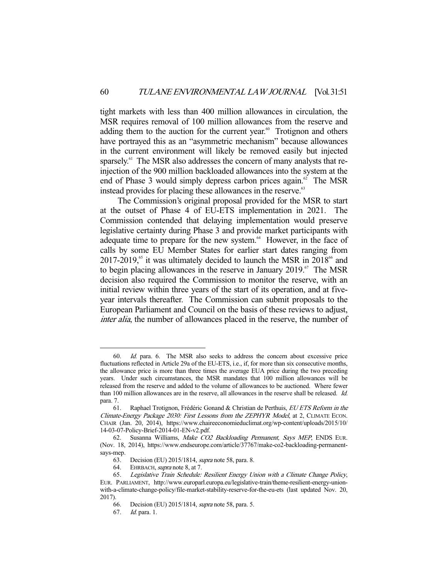tight markets with less than 400 million allowances in circulation, the MSR requires removal of 100 million allowances from the reserve and adding them to the auction for the current year. $60$  Trotignon and others have portrayed this as an "asymmetric mechanism" because allowances in the current environment will likely be removed easily but injected sparsely.<sup>61</sup> The MSR also addresses the concern of many analysts that reinjection of the 900 million backloaded allowances into the system at the end of Phase 3 would simply depress carbon prices again.<sup>62</sup> The MSR instead provides for placing these allowances in the reserve.<sup>63</sup>

 The Commission's original proposal provided for the MSR to start at the outset of Phase 4 of EU-ETS implementation in 2021. The Commission contended that delaying implementation would preserve legislative certainty during Phase 3 and provide market participants with adequate time to prepare for the new system.<sup>64</sup> However, in the face of calls by some EU Member States for earlier start dates ranging from  $2017-2019$ ,<sup>65</sup> it was ultimately decided to launch the MSR in  $2018^{66}$  and to begin placing allowances in the reserve in January 2019.<sup>67</sup> The MSR decision also required the Commission to monitor the reserve, with an initial review within three years of the start of its operation, and at fiveyear intervals thereafter. The Commission can submit proposals to the European Parliament and Council on the basis of these reviews to adjust, inter alia, the number of allowances placed in the reserve, the number of

 <sup>60.</sup> Id. para. 6. The MSR also seeks to address the concern about excessive price fluctuations reflected in Article 29a of the EU-ETS, i.e., if, for more than six consecutive months, the allowance price is more than three times the average EUA price during the two preceding years. Under such circumstances, the MSR mandates that 100 million allowances will be released from the reserve and added to the volume of allowances to be auctioned. Where fewer than 100 million allowances are in the reserve, all allowances in the reserve shall be released. Id. para. 7.

 <sup>61.</sup> Raphael Trotignon, Frédéric Gonand & Christian de Perthuis, EU ETS Reform in the Climate-Energy Package 2030: First Lessons from the ZEPHYR Model, at 2, CLIMATE ECON. CHAIR (Jan. 20, 2014), https://www.chaireeconomieduclimat.org/wp-content/uploads/2015/10/ 14-03-07-Policy-Brief-2014-01-EN-v2.pdf.

<sup>62.</sup> Susanna Williams, Make CO2 Backloading Permanent, Says MEP, ENDS EUR. (Nov. 18, 2014), https://www.endseurope.com/article/37767/make-co2-backloading-permanentsays-mep.

 <sup>63.</sup> Decision (EU) 2015/1814, supra note 58, para. 8.

<sup>64.</sup> EHRBACH, supra note 8, at 7.

 <sup>65.</sup> Legislative Train Schedule: Resilient Energy Union with a Climate Change Policy, EUR. PARLIAMENT, http://www.europarl.europa.eu/legislative-train/theme-resilient-energy-unionwith-a-climate-change-policy/file-market-stability-reserve-for-the-eu-ets (last updated Nov. 20, 2017).

 <sup>66.</sup> Decision (EU) 2015/1814, supra note 58, para. 5.

 <sup>67.</sup> Id. para. 1.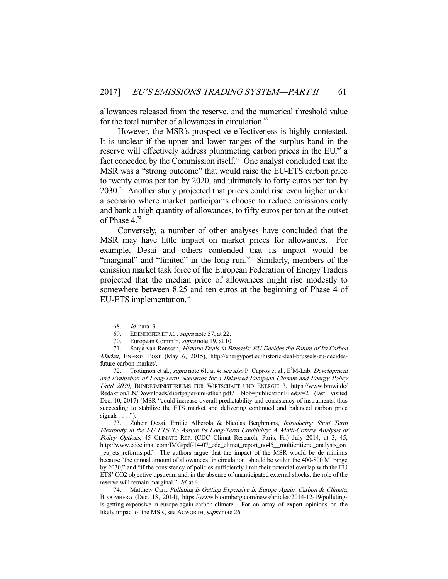allowances released from the reserve, and the numerical threshold value for the total number of allowances in circulation.<sup>68</sup>

 However, the MSR's prospective effectiveness is highly contested. It is unclear if the upper and lower ranges of the surplus band in the reserve will effectively address plummeting carbon prices in the EU,<sup>69</sup> a fact conceded by the Commission itself.<sup>70</sup> One analyst concluded that the MSR was a "strong outcome" that would raise the EU-ETS carbon price to twenty euros per ton by 2020, and ultimately to forty euros per ton by  $2030$ .<sup>71</sup> Another study projected that prices could rise even higher under a scenario where market participants choose to reduce emissions early and bank a high quantity of allowances, to fifty euros per ton at the outset of Phase  $4.^{72}$ 

 Conversely, a number of other analyses have concluded that the MSR may have little impact on market prices for allowances. For example, Desai and others contended that its impact would be "marginal" and "limited" in the long run.<sup>73</sup> Similarly, members of the emission market task force of the European Federation of Energy Traders projected that the median price of allowances might rise modestly to somewhere between 8.25 and ten euros at the beginning of Phase 4 of EU-ETS implementation.<sup>74</sup>

 <sup>68.</sup> Id. para. 3.

<sup>69.</sup> EDENHOFER ET AL., *supra* note 57, at 22.

<sup>70.</sup> European Comm'n, *supra* note 19, at 10.

<sup>71.</sup> Sonja van Renssen, Historic Deals in Brussels: EU Decides the Future of Its Carbon Market, ENERGY POST (May 6, 2015), http://energypost.eu/historic-deal-brussels-eu-decidesfuture-carbon-market/.

<sup>72.</sup> Trotignon et al., *supra* note 61, at 4; see also P. Capros et al., E<sup>3</sup>M-Lab, *Development* and Evaluation of Long-Term Scenarios for a Balanced European Climate and Energy Policy Until 2030, BUNDESMINISTERIUMS FÜR WIRTSCHAFT UND ENERGIE 3, https://www.bmwi.de/ Redaktion/EN/Downloads/shortpaper-uni-athen.pdf?\_\_blob=publicationFile&v=2 (last visited Dec. 10, 2017) (MSR "could increase overall predictability and consistency of instruments, thus succeeding to stabilize the ETS market and delivering continued and balanced carbon price signals  $\dots$ ").

 <sup>73.</sup> Zuheir Desai, Emilie Alberola & Nicolas Berghmans, Introducing Short Term Flexibility in the EU ETS To Assure Its Long-Term Credibility: A Multi-Criteria Analysis of Policy Options, 45 CLIMATE REP. (CDC Climat Research, Paris, Fr.) July 2014, at 3, 45, http://www.cdcclimat.com/IMG/pdf/14-07\_cdc\_climat\_report\_no45\_\_multicritieria\_analysis\_on \_eu\_ets\_reforms.pdf. The authors argue that the impact of the MSR would be de minimis because "the annual amount of allowances 'in circulation' should be within the 400-800 Mt range by 2030," and "if the consistency of policies sufficiently limit their potential overlap with the EU ETS' CO2 objective upstream and, in the absence of unanticipated external shocks, the role of the reserve will remain marginal." Id. at 4.

<sup>74.</sup> Matthew Carr, Polluting Is Getting Expensive in Europe Again: Carbon & Climate, BLOOMBERG (Dec. 18, 2014), https://www.bloomberg.com/news/articles/2014-12-19/pollutingis-getting-expensive-in-europe-again-carbon-climate. For an array of expert opinions on the likely impact of the MSR, see ACWORTH, supra note 26.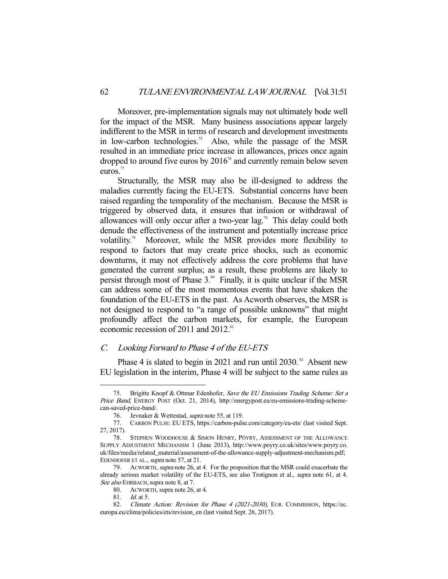Moreover, pre-implementation signals may not ultimately bode well for the impact of the MSR. Many business associations appear largely indifferent to the MSR in terms of research and development investments in low-carbon technologies.<sup>75</sup> Also, while the passage of the MSR resulted in an immediate price increase in allowances, prices once again dropped to around five euros by  $2016<sup>76</sup>$  and currently remain below seven euros.<sup>77</sup>

 Structurally, the MSR may also be ill-designed to address the maladies currently facing the EU-ETS. Substantial concerns have been raised regarding the temporality of the mechanism. Because the MSR is triggered by observed data, it ensures that infusion or withdrawal of allowances will only occur after a two-year lag.<sup>78</sup> This delay could both denude the effectiveness of the instrument and potentially increase price volatility.<sup>79</sup> Moreover, while the MSR provides more flexibility to respond to factors that may create price shocks, such as economic downturns, it may not effectively address the core problems that have generated the current surplus; as a result, these problems are likely to persist through most of Phase  $3.^{80}$  Finally, it is quite unclear if the MSR can address some of the most momentous events that have shaken the foundation of the EU-ETS in the past. As Acworth observes, the MSR is not designed to respond to "a range of possible unknowns" that might profoundly affect the carbon markets, for example, the European economic recession of 2011 and 2012.<sup>81</sup>

# C. Looking Forward to Phase 4 of the EU-ETS

Phase 4 is slated to begin in 2021 and run until 2030.<sup>82</sup> Absent new EU legislation in the interim, Phase 4 will be subject to the same rules as

<sup>75.</sup> Brigitte Knopf & Ottmar Edenhofer, Save the EU Emissions Trading Scheme: Set a Price Band, ENERGY POST (Oct. 21, 2014), http://energypost.eu/eu-emissions-trading-schemecan-saved-price-band/.

 <sup>76.</sup> Jevnaker & Wettestad, supra note 55, at 119.

 <sup>77.</sup> CARBON PULSE: EU ETS, https://carbon-pulse.com/category/eu-ets/ (last visited Sept. 27, 2017).

 <sup>78.</sup> STEPHEN WOODHOUSE & SIMON HENRY, PÖYRY, ASSESSMENT OF THE ALLOWANCE SUPPLY ADJUSTMENT MECHANISM 1 (June 2013), http://www.poyry.co.uk/sites/www.poyry.co. uk/files/media/related\_material/assessment-of-the-allowance-supply-adjustment-mechanism.pdf; EDENHOFER ET AL., supra note 57, at 21.

<sup>79.</sup> ACWORTH, supra note 26, at 4. For the proposition that the MSR could exacerbate the already serious market volatility of the EU-ETS, see also Trotignon et al., supra note 61, at 4. See also EHRBACH, supra note 8, at 7.

 <sup>80.</sup> ACWORTH, supra note 26, at 4.

 <sup>81.</sup> Id. at 5.

<sup>82.</sup> Climate Action: Revision for Phase 4 (2021-2030), EUR. COMMISSION, https://ec. europa.eu/clima/policies/ets/revision\_en (last visited Sept. 26, 2017).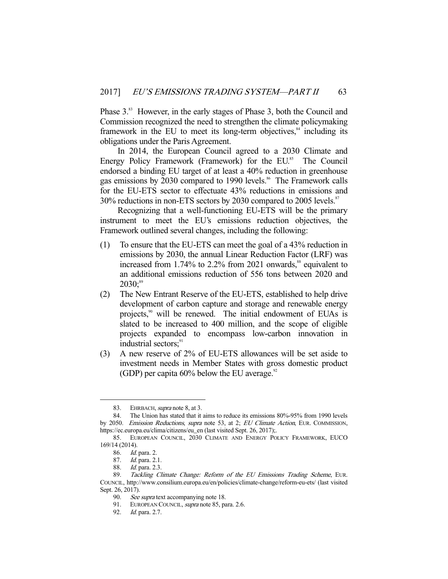Phase 3.<sup>83</sup> However, in the early stages of Phase 3, both the Council and Commission recognized the need to strengthen the climate policymaking framework in the EU to meet its long-term objectives, $s<sup>84</sup>$  including its obligations under the Paris Agreement.

 In 2014, the European Council agreed to a 2030 Climate and Energy Policy Framework (Framework) for the EU.<sup>85</sup> The Council endorsed a binding EU target of at least a 40% reduction in greenhouse gas emissions by 2030 compared to 1990 levels.<sup>86</sup> The Framework calls for the EU-ETS sector to effectuate 43% reductions in emissions and 30% reductions in non-ETS sectors by 2030 compared to 2005 levels.<sup>87</sup>

 Recognizing that a well-functioning EU-ETS will be the primary instrument to meet the EU's emissions reduction objectives, the Framework outlined several changes, including the following:

- (1) To ensure that the EU-ETS can meet the goal of a 43% reduction in emissions by 2030, the annual Linear Reduction Factor (LRF) was increased from  $1.74\%$  to  $2.2\%$  from 2021 onwards,<sup>88</sup> equivalent to an additional emissions reduction of 556 tons between 2020 and  $2030$ ;<sup>89</sup>
- (2) The New Entrant Reserve of the EU-ETS, established to help drive development of carbon capture and storage and renewable energy projects,<sup>90</sup> will be renewed. The initial endowment of EUAs is slated to be increased to 400 million, and the scope of eligible projects expanded to encompass low-carbon innovation in industrial sectors;<sup>91</sup>
- (3) A new reserve of 2% of EU-ETS allowances will be set aside to investment needs in Member States with gross domestic product (GDP) per capita  $60\%$  below the EU average.<sup>92</sup>

<sup>83.</sup> EHRBACH, *supra* note 8, at 3.

 <sup>84.</sup> The Union has stated that it aims to reduce its emissions 80%-95% from 1990 levels by 2050. Emission Reductions, supra note 53, at 2; EU Climate Action, EUR. COMMISSION, https://ec.europa.eu/clima/citizens/eu\_en (last visited Sept. 26, 2017);.

 <sup>85.</sup> EUROPEAN COUNCIL, 2030 CLIMATE AND ENERGY POLICY FRAMEWORK, EUCO 169/14 (2014).

 <sup>86.</sup> Id. para. 2.

 <sup>87.</sup> Id. para. 2.1.

 <sup>88.</sup> Id. para. 2.3.

 <sup>89.</sup> Tackling Climate Change: Reform of the EU Emissions Trading Scheme, EUR. COUNCIL, http://www.consilium.europa.eu/en/policies/climate-change/reform-eu-ets/ (last visited Sept. 26, 2017).

<sup>90.</sup> See supra text accompanying note 18.

<sup>91.</sup> EUROPEAN COUNCIL, supra note 85, para. 2.6.

 <sup>92.</sup> Id. para. 2.7.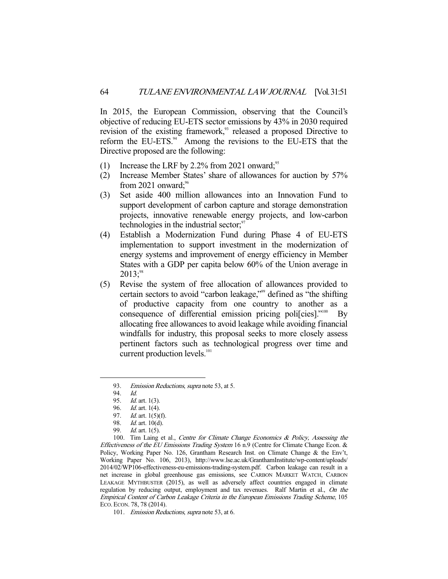In 2015, the European Commission, observing that the Council's objective of reducing EU-ETS sector emissions by 43% in 2030 required revision of the existing framework,<sup>93</sup> released a proposed Directive to reform the EU-ETS.<sup>94</sup> Among the revisions to the EU-ETS that the Directive proposed are the following:

- (1) Increase the LRF by 2.2% from 2021 onward;<sup>95</sup>
- (2) Increase Member States' share of allowances for auction by 57% from 2021 onward; $\frac{96}{6}$
- (3) Set aside 400 million allowances into an Innovation Fund to support development of carbon capture and storage demonstration projects, innovative renewable energy projects, and low-carbon technologies in the industrial sector; $\frac{97}{2}$
- (4) Establish a Modernization Fund during Phase 4 of EU-ETS implementation to support investment in the modernization of energy systems and improvement of energy efficiency in Member States with a GDP per capita below 60% of the Union average in  $2013$ ;<sup>98</sup>
- (5) Revise the system of free allocation of allowances provided to certain sectors to avoid "carbon leakage,"99 defined as "the shifting of productive capacity from one country to another as a consequence of differential emission pricing polificies]."<sup>100</sup> By allocating free allowances to avoid leakage while avoiding financial windfalls for industry, this proposal seeks to more closely assess pertinent factors such as technological progress over time and current production levels.<sup>101</sup>

<sup>93.</sup> Emission Reductions, supra note 53, at 5.

 <sup>94.</sup> Id.

<sup>95.</sup> *Id.* art. 1(3).

<sup>96.</sup> *Id.* art. 1(4).

<sup>97.</sup> *Id.* art. 1(5)(f).

 <sup>98.</sup> Id. art. 10(d).

 <sup>99.</sup> Id. art. 1(5).

<sup>100.</sup> Tim Laing et al., Centre for Climate Change Economics & Policy, Assessing the Effectiveness of the EU Emissions Trading System 16 n.9 (Centre for Climate Change Econ. & Policy, Working Paper No. 126, Grantham Research Inst. on Climate Change & the Env't, Working Paper No. 106, 2013), http://www.lse.ac.uk/GranthamInstitute/wp-content/uploads/ 2014/02/WP106-effectiveness-eu-emissions-trading-system.pdf. Carbon leakage can result in a net increase in global greenhouse gas emissions, see CARBON MARKET WATCH, CARBON LEAKAGE MYTHBUSTER (2015), as well as adversely affect countries engaged in climate regulation by reducing output, employment and tax revenues. Ralf Martin et al., On the Empirical Content of Carbon Leakage Criteria in the European Emissions Trading Scheme, 105 ECO. ECON. 78, 78 (2014).

<sup>101.</sup> *Emission Reductions, supra* note 53, at 6.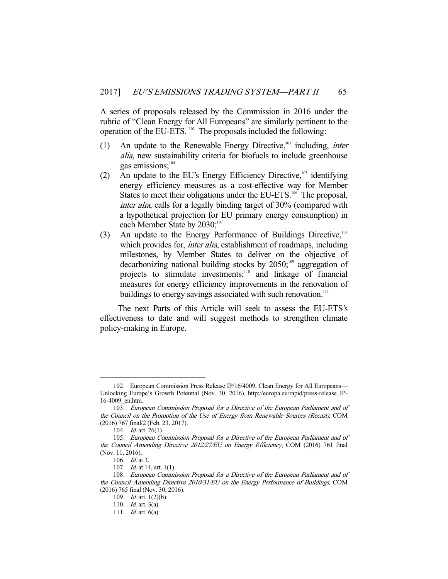A series of proposals released by the Commission in 2016 under the rubric of "Clean Energy for All Europeans" are similarly pertinent to the operation of the EU-ETS.  $^{102}$  The proposals included the following:

- (1) An update to the Renewable Energy Directive,<sup>103</sup> including, *inter* alia, new sustainability criteria for biofuels to include greenhouse gas emissions;<sup>104</sup>
- (2) An update to the EU's Energy Efficiency Directive, $105$  identifying energy efficiency measures as a cost-effective way for Member States to meet their obligations under the EU-ETS.<sup>106</sup> The proposal, inter alia, calls for a legally binding target of 30% (compared with a hypothetical projection for EU primary energy consumption) in each Member State by 2030;<sup>107</sup>
- (3) An update to the Energy Performance of Buildings Directive.<sup>108</sup> which provides for, *inter alia*, establishment of roadmaps, including milestones, by Member States to deliver on the objective of decarbonizing national building stocks by  $2050$ ;<sup>109</sup> aggregation of projects to stimulate investments; $110$  and linkage of financial measures for energy efficiency improvements in the renovation of buildings to energy savings associated with such renovation.<sup>111</sup>

 The next Parts of this Article will seek to assess the EU-ETS's effectiveness to date and will suggest methods to strengthen climate policy-making in Europe.

 <sup>102.</sup> European Commission Press Release IP/16/4009, Clean Energy for All Europeans— Unlocking Europe's Growth Potential (Nov. 30, 2016), http://europa.eu/rapid/press-release\_IP-16-4009\_en.htm.

 <sup>103.</sup> European Commission Proposal for a Directive of the European Parliament and of the Council on the Promotion of the Use of Energy from Renewable Sources (Recast), COM (2016) 767 final/2 (Feb. 23, 2017).

 <sup>104.</sup> Id. art. 26(1).

 <sup>105.</sup> European Commission Proposal for a Directive of the European Parliament and of the Council Amending Directive 2012/27/EU on Energy Efficiency, COM (2016) 761 final (Nov. 11, 2016).

 <sup>106.</sup> Id. at 3.

 <sup>107.</sup> Id. at 14, art. 1(1).

 <sup>108.</sup> European Commission Proposal for a Directive of the European Parliament and of the Council Amending Directive 2010/31/EU on the Energy Performance of Buildings, COM (2016) 765 final (Nov. 30, 2016).

 <sup>109.</sup> Id. art. 1(2)(b).

 <sup>110.</sup> Id. art. 3(a).

 <sup>111.</sup> Id. art. 6(a).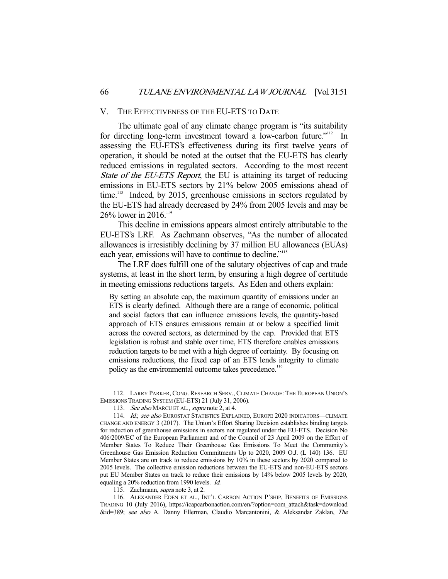#### V. THE EFFECTIVENESS OF THE EU-ETS TO DATE

 The ultimate goal of any climate change program is "its suitability for directing long-term investment toward a low-carbon future."<sup>112</sup> In assessing the EU-ETS's effectiveness during its first twelve years of operation, it should be noted at the outset that the EU-ETS has clearly reduced emissions in regulated sectors. According to the most recent State of the EU-ETS Report, the EU is attaining its target of reducing emissions in EU-ETS sectors by 21% below 2005 emissions ahead of time.<sup>113</sup> Indeed, by 2015, greenhouse emissions in sectors regulated by the EU-ETS had already decreased by 24% from 2005 levels and may be  $26\%$  lower in 2016.<sup>114</sup>

 This decline in emissions appears almost entirely attributable to the EU-ETS's LRF. As Zachmann observes, "As the number of allocated allowances is irresistibly declining by 37 million EU allowances (EUAs) each year, emissions will have to continue to decline."<sup>115</sup>

 The LRF does fulfill one of the salutary objectives of cap and trade systems, at least in the short term, by ensuring a high degree of certitude in meeting emissions reductions targets. As Eden and others explain:

By setting an absolute cap, the maximum quantity of emissions under an ETS is clearly defined. Although there are a range of economic, political and social factors that can influence emissions levels, the quantity-based approach of ETS ensures emissions remain at or below a specified limit across the covered sectors, as determined by the cap. Provided that ETS legislation is robust and stable over time, ETS therefore enables emissions reduction targets to be met with a high degree of certainty. By focusing on emissions reductions, the fixed cap of an ETS lends integrity to climate policy as the environmental outcome takes precedence.<sup>116</sup>

-

 116. ALEXANDER EDEN ET AL., INT'L CARBON ACTION P'SHIP, BENEFITS OF EMISSIONS TRADING 10 (July 2016), https://icapcarbonaction.com/en/?option=com\_attach&task=download &id=389; see also A. Danny Ellerman, Claudio Marcantonini, & Aleksandar Zaklan, The

 <sup>112.</sup> LARRY PARKER, CONG. RESEARCH SERV., CLIMATE CHANGE: THE EUROPEAN UNION'S EMISSIONS TRADING SYSTEM (EU-ETS) 21 (July 31, 2006).

<sup>113.</sup> See also MARCU ET AL., supra note 2, at 4.

<sup>114.</sup> Id.; see also EUROSTAT STATISTICS EXPLAINED, EUROPE 2020 INDICATORS-CLIMATE CHANGE AND ENERGY 3 (2017). The Union's Effort Sharing Decision establishes binding targets for reduction of greenhouse emissions in sectors not regulated under the EU-ETS. Decision No 406/2009/EC of the European Parliament and of the Council of 23 April 2009 on the Effort of Member States To Reduce Their Greenhouse Gas Emissions To Meet the Community's Greenhouse Gas Emission Reduction Commitments Up to 2020, 2009 O.J. (L 140) 136. EU Member States are on track to reduce emissions by 10% in these sectors by 2020 compared to 2005 levels. The collective emission reductions between the EU-ETS and non-EU-ETS sectors put EU Member States on track to reduce their emissions by 14% below 2005 levels by 2020, equaling a 20% reduction from 1990 levels. Id.

<sup>115.</sup> Zachmann, *supra* note 3, at 2.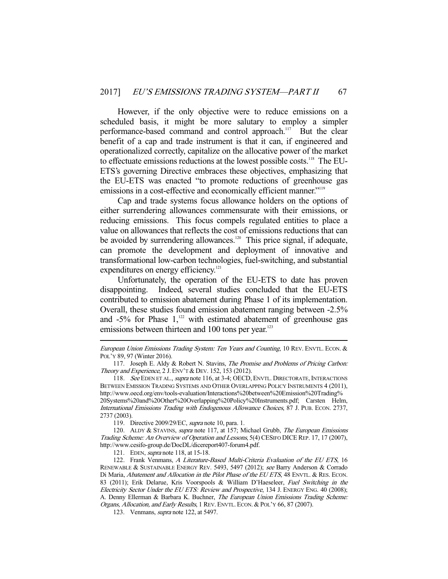However, if the only objective were to reduce emissions on a scheduled basis, it might be more salutary to employ a simpler performance-based command and control approach.<sup>117</sup> But the clear benefit of a cap and trade instrument is that it can, if engineered and operationalized correctly, capitalize on the allocative power of the market to effectuate emissions reductions at the lowest possible costs.<sup>118</sup> The EU-ETS's governing Directive embraces these objectives, emphasizing that the EU-ETS was enacted "to promote reductions of greenhouse gas emissions in a cost-effective and economically efficient manner."<sup>119</sup>

 Cap and trade systems focus allowance holders on the options of either surrendering allowances commensurate with their emissions, or reducing emissions. This focus compels regulated entities to place a value on allowances that reflects the cost of emissions reductions that can be avoided by surrendering allowances.<sup>120</sup> This price signal, if adequate, can promote the development and deployment of innovative and transformational low-carbon technologies, fuel-switching, and substantial expenditures on energy efficiency.<sup>121</sup>

 Unfortunately, the operation of the EU-ETS to date has proven disappointing. Indeed, several studies concluded that the EU-ETS contributed to emission abatement during Phase 1 of its implementation. Overall, these studies found emission abatement ranging between -2.5% and  $-5\%$  for Phase  $1$ ,<sup>122</sup> with estimated abatement of greenhouse gas emissions between thirteen and 100 tons per year.<sup>123</sup>

118. See EDEN ET AL., supra note 116, at 3-4; OECD, ENVTL. DIRECTORATE, INTERACTIONS BETWEEN EMISSION TRADING SYSTEMS AND OTHER OVERLAPPING POLICY INSTRUMENTS 4 (2011), http://www.oecd.org/env/tools-evaluation/Interactions%20between%20Emission%20Trading% 20Systems%20and%20Other%20Overlapping%20Policy%20Instruments.pdf; Carsten Helm, International Emissions Trading with Endogenous Allowance Choices, 87 J. PUB. ECON. 2737, 2737 (2003).

119. Directive 2009/29/EC, supra note 10, para. 1.

120. ALDY & STAVINS, supra note 117, at 157; Michael Grubb, The European Emissions Trading Scheme: An Overview of Operation and Lessons, 5(4) CESIFO DICE REP. 17, 17 (2007), http://www.cesifo-group.de/DocDL/dicereport407-forum4.pdf.

121. EDEN, supra note 118, at 15-18.

-

122. Frank Venmans, A Literature-Based Multi-Criteria Evaluation of the EU ETS, 16 RENEWABLE & SUSTAINABLE ENERGY REV. 5493, 5497 (2012); see Barry Anderson & Corrado Di Maria, Abatement and Allocation in the Pilot Phase of the EU ETS, 48 ENVTL. & RES. ECON. 83 (2011); Erik Delarue, Kris Voorspools & William D'Haeseleer, Fuel Switching in the Electricity Sector Under the EU ETS: Review and Prospective, 134 J. ENERGY ENG. 40 (2008); A. Denny Ellerman & Barbara K. Buchner, The European Union Emissions Trading Scheme: Organs, Allocation, and Early Results, 1 REV. ENVTL. ECON. & POL'Y 66, 87 (2007).

123. Venmans, *supra* note 122, at 5497.

European Union Emissions Trading System: Ten Years and Counting, 10 REV. ENVTL. ECON. & POL'Y 89, 97 (Winter 2016).

 <sup>117.</sup> Joseph E. Aldy & Robert N. Stavins, The Promise and Problems of Pricing Carbon: Theory and Experience, 2 J. ENV'T & DEV. 152, 153 (2012).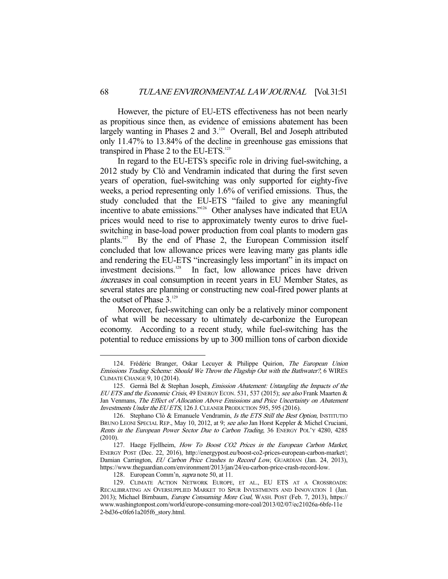However, the picture of EU-ETS effectiveness has not been nearly as propitious since then, as evidence of emissions abatement has been largely wanting in Phases 2 and  $3.^{124}$  Overall, Bel and Joseph attributed only 11.47% to 13.84% of the decline in greenhouse gas emissions that transpired in Phase 2 to the EU-ETS.<sup>125</sup>

 In regard to the EU-ETS's specific role in driving fuel-switching, a 2012 study by Clò and Vendramin indicated that during the first seven years of operation, fuel-switching was only supported for eighty-five weeks, a period representing only 1.6% of verified emissions. Thus, the study concluded that the EU-ETS "failed to give any meaningful incentive to abate emissions."<sup>126</sup> Other analyses have indicated that EUA prices would need to rise to approximately twenty euros to drive fuelswitching in base-load power production from coal plants to modern gas plants.<sup>127</sup> By the end of Phase 2, the European Commission itself concluded that low allowance prices were leaving many gas plants idle and rendering the EU-ETS "increasingly less important" in its impact on investment decisions.<sup>128</sup> In fact, low allowance prices have driven increases in coal consumption in recent years in EU Member States, as several states are planning or constructing new coal-fired power plants at the outset of Phase  $3.^{129}$ 

 Moreover, fuel-switching can only be a relatively minor component of what will be necessary to ultimately de-carbonize the European economy. According to a recent study, while fuel-switching has the potential to reduce emissions by up to 300 million tons of carbon dioxide

<sup>124.</sup> Frédéric Branger, Oskar Lecuyer & Philippe Quirion, The European Union Emissions Trading Scheme: Should We Throw the Flagship Out with the Bathwater?, 6 WIRES CLIMATE CHANGE 9, 10 (2014).

<sup>125.</sup> Germà Bel & Stephan Joseph, Emission Abatement: Untangling the Impacts of the EU ETS and the Economic Crisis, 49 ENERGY ECON. 531, 537 (2015); see also Frank Maarten & Jan Venmans, The Effect of Allocation Above Emissions and Price Uncertainty on Abatement Investments Under the EU ETS, 126 J.CLEANER PRODUCTION 595, 595 (2016).

<sup>126.</sup> Stephano Clò & Emanuele Vendramin, Is the ETS Still the Best Option, INSTITUTIO BRUNO LEONI SPECIAL REP., May 10, 2012, at 9; see also Jan Horst Keppler & Michel Cruciani, Rents in the European Power Sector Due to Carbon Trading, 36 ENERGY POL'Y 4280, 4285 (2010).

<sup>127.</sup> Haege Fjellheim, How To Boost CO2 Prices in the European Carbon Market, ENERGY POST (Dec. 22, 2016), http://energypost.eu/boost-co2-prices-european-carbon-market/; Damian Carrington, EU Carbon Price Crashes to Record Low, GUARDIAN (Jan. 24, 2013), https://www.theguardian.com/environment/2013/jan/24/eu-carbon-price-crash-record-low.

 <sup>128.</sup> European Comm'n, supra note 50, at 11.

 <sup>129.</sup> CLIMATE ACTION NETWORK EUROPE, ET AL., EU ETS AT A CROSSROADS: RECALIBRATING AN OVERSUPPLIED MARKET TO SPUR INVESTMENTS AND INNOVATION 1 (Jan. 2013); Michael Birnbaum, Europe Consuming More Coal, WASH. POST (Feb. 7, 2013), https:// www.washingtonpost.com/world/europe-consuming-more-coal/2013/02/07/ec21026a-6bfe-11e 2-bd36-c0fe61a205f6\_story.html.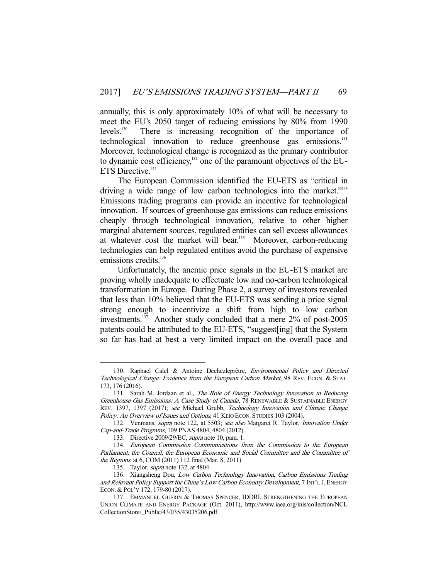annually, this is only approximately 10% of what will be necessary to meet the EU's 2050 target of reducing emissions by 80% from 1990 levels.<sup>130</sup> There is increasing recognition of the importance of technological innovation to reduce greenhouse gas emissions.<sup>131</sup> Moreover, technological change is recognized as the primary contributor to dynamic cost efficiency,<sup>132</sup> one of the paramount objectives of the EU-ETS Directive.<sup>133</sup>

 The European Commission identified the EU-ETS as "critical in driving a wide range of low carbon technologies into the market."<sup>134</sup> Emissions trading programs can provide an incentive for technological innovation. If sources of greenhouse gas emissions can reduce emissions cheaply through technological innovation, relative to other higher marginal abatement sources, regulated entities can sell excess allowances at whatever cost the market will bear.<sup>135</sup> Moreover, carbon-reducing technologies can help regulated entities avoid the purchase of expensive emissions credits.<sup>136</sup>

 Unfortunately, the anemic price signals in the EU-ETS market are proving wholly inadequate to effectuate low and no-carbon technological transformation in Europe. During Phase 2, a survey of investors revealed that less than 10% believed that the EU-ETS was sending a price signal strong enough to incentivize a shift from high to low carbon investments.<sup>137</sup> Another study concluded that a mere 2% of post-2005 patents could be attributed to the EU-ETS, "suggest[ing] that the System so far has had at best a very limited impact on the overall pace and

<sup>130.</sup> Raphael Calel & Antoine Dechezleprêtre, Environmental Policy and Directed Technological Change: Evidence from the European Carbon Market, 98 REV. ECON. & STAT. 173, 176 (2016).

<sup>131.</sup> Sarah M. Jordaan et al., The Role of Energy Technology Innovation in Reducing Greenhouse Gas Emissions: A Case Study of Canada, 78 RENEWABLE & SUSTAINABLE ENERGY REV. 1397, 1397 (2017); see Michael Grubb, Technology Innovation and Climate Change Policy: An Overview of Issues and Options, 41 KEIO ECON. STUDIES 103 (2004).

 <sup>132.</sup> Venmans, supra note 122, at 5503; see also Margaret R. Taylor, Innovation Under Cap-and-Trade Programs, 109 PNAS 4804, 4804 (2012).

<sup>133.</sup> Directive 2009/29/EC, *supra* note 10, para. 1.

 <sup>134.</sup> European Commission Communications from the Commission to the European Parliament, the Council, the European Economic and Social Committee and the Committee of the Regions, at 6, COM (2011) 112 final (Mar. 8, 2011).

 <sup>135.</sup> Taylor, supra note 132, at 4804.

<sup>136.</sup> Xiangsheng Dou, Low Carbon Technology Innovation, Carbon Emissions Trading and Relevant Policy Support for China's Low Carbon Economy Development, 7 INT'L J. ENERGY ECON. & POL'Y 172, 179-80 (2017).

 <sup>137.</sup> EMMANUEL GUÉRIN & THOMAS SPENCER, IDDRI, STRENGTHENING THE EUROPEAN UNION CLIMATE AND ENERGY PACKAGE (Oct. 2011), http://www.iaea.org/inis/collection/NCL CollectionStore/\_Public/43/035/43035206.pdf.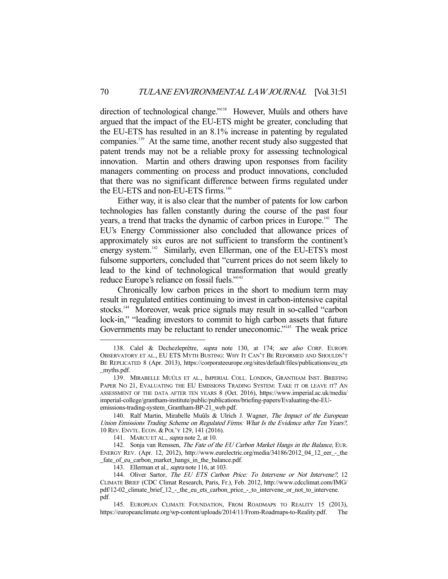direction of technological change."<sup>138</sup> However, Muûls and others have argued that the impact of the EU-ETS might be greater, concluding that the EU-ETS has resulted in an 8.1% increase in patenting by regulated companies.139 At the same time, another recent study also suggested that patent trends may not be a reliable proxy for assessing technological innovation. Martin and others drawing upon responses from facility managers commenting on process and product innovations, concluded that there was no significant difference between firms regulated under the EU-ETS and non-EU-ETS firms.<sup>140</sup>

 Either way, it is also clear that the number of patents for low carbon technologies has fallen constantly during the course of the past four years, a trend that tracks the dynamic of carbon prices in Europe.<sup>141</sup> The EU's Energy Commissioner also concluded that allowance prices of approximately six euros are not sufficient to transform the continent's energy system.<sup>142</sup> Similarly, even Ellerman, one of the EU-ETS's most fulsome supporters, concluded that "current prices do not seem likely to lead to the kind of technological transformation that would greatly reduce Europe's reliance on fossil fuels."143

 Chronically low carbon prices in the short to medium term may result in regulated entities continuing to invest in carbon-intensive capital stocks.144 Moreover, weak price signals may result in so-called "carbon lock-in," "leading investors to commit to high carbon assets that future Governments may be reluctant to render uneconomic."<sup>145</sup> The weak price

<sup>138.</sup> Calel & Dechezleprêtre, supra note 130, at 174; see also CORP. EUROPE OBSERVATORY ET AL., EU ETS MYTH BUSTING: WHY IT CAN'T BE REFORMED AND SHOULDN'T BE REPLICATED 8 (Apr. 2013), https://corporateeurope.org/sites/default/files/publications/eu\_ets \_myths.pdf.

<sup>139.</sup> MIRABELLE MUÛLS ET AL., IMPERIAL COLL. LONDON, GRANTHAM INST. BRIEFING PAPER NO 21, EVALUATING THE EU EMISSIONS TRADING SYSTEM: TAKE IT OR LEAVE IT? AN ASSESSMENT OF THE DATA AFTER TEN YEARS 8 (Oct. 2016), https://www.imperial.ac.uk/media/ imperial-college/grantham-institute/public/publications/briefing-papers/Evaluating-the-EUemissions-trading-system\_Grantham-BP-21\_web.pdf.

<sup>140.</sup> Ralf Martin, Mirabelle Muûls & Ulrich J. Wagner, The Impact of the European Union Emissions Trading Scheme on Regulated Firms: What Is the Evidence after Ten Years?, 10 REV. ENVTL. ECON. & POL'Y 129, 141 (2016).

<sup>141.</sup> MARCU ET AL., *supra* note 2, at 10.

<sup>142.</sup> Sonja van Renssen, The Fate of the EU Carbon Market Hangs in the Balance, EUR. ENERGY REV. (Apr. 12, 2012), http://www.eurelectric.org/media/34186/2012\_04\_12\_eer\_-\_the \_fate\_of\_eu\_carbon\_market\_hangs\_in\_the\_balance.pdf.

<sup>143.</sup> Ellerman et al., *supra* note 116, at 103.

<sup>144.</sup> Oliver Sartor, The EU ETS Carbon Price: To Intervene or Not Intervene?, 12 CLIMATE BRIEF (CDC Climat Research, Paris, Fr.), Feb. 2012, http://www.cdcclimat.com/IMG/ pdf/12-02\_climate\_brief\_12\_-\_the\_eu\_ets\_carbon\_price\_-\_to\_intervene\_or\_not\_to\_intervene. pdf.

 <sup>145.</sup> EUROPEAN CLIMATE FOUNDATION, FROM ROADMAPS TO REALITY 15 (2013), https://europeanclimate.org/wp-content/uploads/2014/11/From-Roadmaps-to-Reality.pdf. The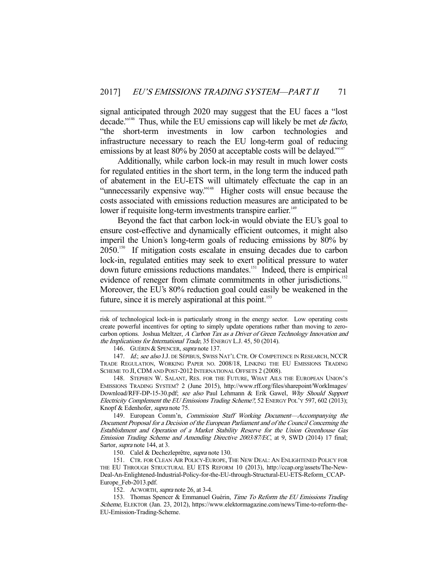signal anticipated through 2020 may suggest that the EU faces a "lost decade."<sup>146</sup> Thus, while the EU emissions cap will likely be met *de facto*, "the short-term investments in low carbon technologies and infrastructure necessary to reach the EU long-term goal of reducing emissions by at least 80% by 2050 at acceptable costs will be delayed."<sup>147</sup>

 Additionally, while carbon lock-in may result in much lower costs for regulated entities in the short term, in the long term the induced path of abatement in the EU-ETS will ultimately effectuate the cap in an "unnecessarily expensive way."148 Higher costs will ensue because the costs associated with emissions reduction measures are anticipated to be lower if requisite long-term investments transpire earlier.<sup>149</sup>

 Beyond the fact that carbon lock-in would obviate the EU's goal to ensure cost-effective and dynamically efficient outcomes, it might also imperil the Union's long-term goals of reducing emissions by 80% by 2050<sup>150</sup> If mitigation costs escalate in ensuing decades due to carbon lock-in, regulated entities may seek to exert political pressure to water down future emissions reductions mandates.<sup>151</sup> Indeed, there is empirical evidence of reneger from climate commitments in other jurisdictions.<sup>152</sup> Moreover, the EU's 80% reduction goal could easily be weakened in the future, since it is merely aspirational at this point.<sup>153</sup>

146. GUÉRIN & SPENCER, supra note 137.

-

147. Id.; see also J.J. DE SÉPIBUS, SWISS NAT'L CTR. OF COMPETENCE IN RESEARCH, NCCR TRADE REGULATION, WORKING PAPER NO. 2008/18, LINKING THE EU EMISSIONS TRADING SCHEME TO JI, CDM AND POST-2012 INTERNATIONAL OFFSETS 2 (2008).

 148. STEPHEN W. SALANT, RES. FOR THE FUTURE, WHAT AILS THE EUROPEAN UNION'S EMISSIONS TRADING SYSTEM? 2 (June 2015), http://www.rff.org/files/sharepoint/WorkImages/ Download/RFF-DP-15-30.pdf; see also Paul Lehmann & Erik Gawel, Why Should Support Electricity Complement the EU Emissions Trading Scheme?, 52 ENERGY POL'Y 597, 602 (2013); Knopf & Edenhofer, supra note 75.

 149. European Comm'n, Commission Staff Working Document—Accompanying the Document Proposal for a Decision of the European Parliament and of the Council Concerning the Establishment and Operation of a Market Stability Reserve for the Union Greenhouse Gas Emission Trading Scheme and Amending Directive 2003/87/EC, at 9, SWD (2014) 17 final; Sartor, *supra* note 144, at 3.

150. Calel & Dechezleprêtre, supra note 130.

 151. CTR. FOR CLEAN AIR POLICY-EUROPE, THE NEW DEAL: AN ENLIGHTENED POLICY FOR THE EU THROUGH STRUCTURAL EU ETS REFORM 10 (2013), http://ccap.org/assets/The-New-Deal-An-Enlightened-Industrial-Policy-for-the-EU-through-Structural-EU-ETS-Reform\_CCAP-Europe\_Feb-2013.pdf.

152. ACWORTH, supra note 26, at 3-4.

153. Thomas Spencer & Emmanuel Guérin, Time To Reform the EU Emissions Trading Scheme, ELEKTOR (Jan. 23, 2012), https://www.elektormagazine.com/news/Time-to-reform-the-EU-Emission-Trading-Scheme.

risk of technological lock-in is particularly strong in the energy sector. Low operating costs create powerful incentives for opting to simply update operations rather than moving to zerocarbon options. Joshua Meltzer, A Carbon Tax as a Driver of Green Technology Innovation and the Implications for International Trade, 35 ENERGY L.J. 45, 50 (2014).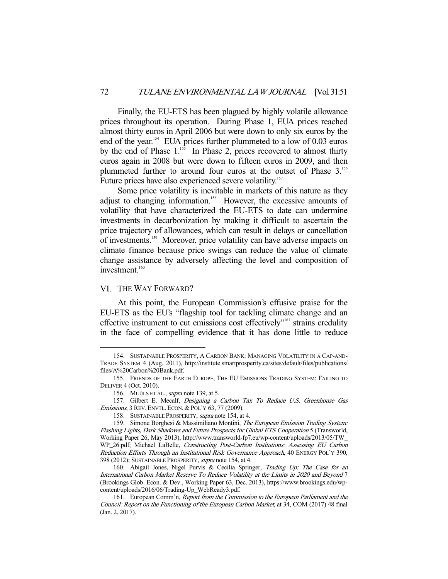Finally, the EU-ETS has been plagued by highly volatile allowance prices throughout its operation. During Phase 1, EUA prices reached almost thirty euros in April 2006 but were down to only six euros by the end of the year.<sup>154</sup> EUA prices further plummeted to a low of 0.03 euros by the end of Phase  $1.^{155}$ . In Phase 2, prices recovered to almost thirty euros again in 2008 but were down to fifteen euros in 2009, and then plummeted further to around four euros at the outset of Phase 3.156 Future prices have also experienced severe volatility.<sup>157</sup>

 Some price volatility is inevitable in markets of this nature as they adjust to changing information.<sup>158</sup> However, the excessive amounts of volatility that have characterized the EU-ETS to date can undermine investments in decarbonization by making it difficult to ascertain the price trajectory of allowances, which can result in delays or cancellation of investments.159 Moreover, price volatility can have adverse impacts on climate finance because price swings can reduce the value of climate change assistance by adversely affecting the level and composition of investment.<sup>160</sup>

# VI. THE WAY FORWARD?

-

 At this point, the European Commission's effusive praise for the EU-ETS as the EU's "flagship tool for tackling climate change and an effective instrument to cut emissions cost effectively"161 strains credulity in the face of compelling evidence that it has done little to reduce

 <sup>154.</sup> SUSTAINABLE PROSPERITY, A CARBON BANK: MANAGING VOLATILITY IN A CAP-AND-TRADE SYSTEM 4 (Aug. 2011), http://institute.smartprosperity.ca/sites/default/files/publications/ files/A%20Carbon%20Bank.pdf.

 <sup>155.</sup> FRIENDS OF THE EARTH EUROPE, THE EU EMISSIONS TRADING SYSTEM: FAILING TO DELIVER 4 (Oct. 2010).

<sup>156.</sup> MUÛLS ET AL., supra note 139, at 5.

 <sup>157.</sup> Gilbert E. Mecalf, Designing a Carbon Tax To Reduce U.S. Greenhouse Gas Emissions, 3 REV. ENVTL. ECON. & POL'Y 63, 77 (2009).

<sup>158.</sup> SUSTAINABLE PROSPERITY, *supra* note 154, at 4.

<sup>159.</sup> Simone Borghesi & Massimiliano Montini, The European Emission Trading System: Flashing Lights, Dark Shadows and Future Prospects for Global ETS Cooperation 5 (Transworld, Working Paper 26, May 2013), http://www.transworld-fp7.eu/wp-content/uploads/2013/05/TW\_ WP\_26.pdf; Michael LaBelle, Constructing Post-Carbon Institutions: Assessing EU Carbon Reduction Efforts Through an Institutional Risk Governance Approach, 40 ENERGY POL'Y 390, 398 (2012); SUSTAINABLE PROSPERITY, supra note 154, at 4.

 <sup>160.</sup> Abigail Jones, Nigel Purvis & Cecilia Springer, Trading Up: The Case for an International Carbon Market Reserve To Reduce Volatility at the Limits in 2020 and Beyond 7 (Brookings Glob. Econ. & Dev., Working Paper 63, Dec. 2013), https://www.brookings.edu/wpcontent/uploads/2016/06/Trading-Up\_WebReady3.pdf.

<sup>161.</sup> European Comm'n, Report from the Commission to the European Parliament and the Council: Report on the Functioning of the European Carbon Market, at 34, COM (2017) 48 final (Jan. 2, 2017).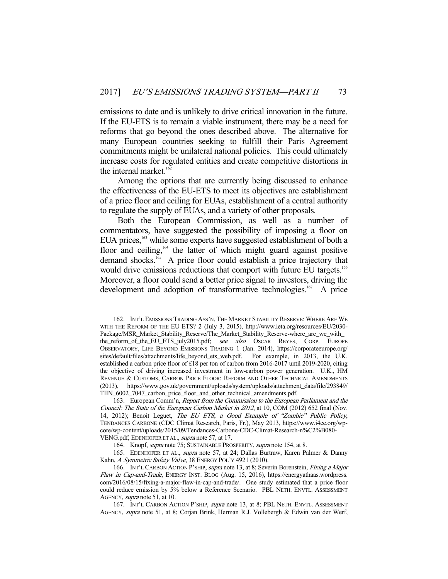emissions to date and is unlikely to drive critical innovation in the future. If the EU-ETS is to remain a viable instrument, there may be a need for reforms that go beyond the ones described above. The alternative for many European countries seeking to fulfill their Paris Agreement commitments might be unilateral national policies. This could ultimately increase costs for regulated entities and create competitive distortions in the internal market. $162$ 

 Among the options that are currently being discussed to enhance the effectiveness of the EU-ETS to meet its objectives are establishment of a price floor and ceiling for EUAs, establishment of a central authority to regulate the supply of EUAs, and a variety of other proposals.

 Both the European Commission, as well as a number of commentators, have suggested the possibility of imposing a floor on EUA prices,<sup>163</sup> while some experts have suggested establishment of both a floor and ceiling,<sup>164</sup> the latter of which might guard against positive demand shocks.<sup>165</sup> A price floor could establish a price trajectory that would drive emissions reductions that comport with future EU targets.<sup>166</sup> Moreover, a floor could send a better price signal to investors, driving the development and adoption of transformative technologies.<sup>167</sup> A price

 <sup>162.</sup> INT'L EMISSIONS TRADING ASS'N, THE MARKET STABILITY RESERVE: WHERE ARE WE WITH THE REFORM OF THE EU ETS? 2 (July 3, 2015), http://www.ieta.org/resources/EU/2030- Package/MSR\_Market\_Stability\_Reserve/The\_Market\_Stability\_Reserve-where\_are\_we\_with the\_reform\_of\_the\_EU\_ETS\_july2015.pdf; see also OSCAR REYES, CORP. EUROPE OBSERVATORY, LIFE BEYOND EMISSIONS TRADING 1 (Jan. 2014), https://corporateeurope.org/ sites/default/files/attachments/life\_beyond\_ets\_web.pdf. For example, in 2013, the U.K. established a carbon price floor of £18 per ton of carbon from 2016-2017 until 2019-2020, citing the objective of driving increased investment in low-carbon power generation. U.K., HM REVENUE & CUSTOMS, CARBON PRICE FLOOR: REFORM AND OTHER TECHNICAL AMENDMENTS (2013), https://www.gov.uk/government/uploads/system/uploads/attachment\_data/file/293849/ TIIN\_6002\_7047\_carbon\_price\_floor\_and\_other\_technical\_amendments.pdf.

 <sup>163.</sup> European Comm'n, Report from the Commission to the European Parliament and the Council: The State of the European Carbon Market in 2012, at 10, COM (2012) 652 final (Nov. 14, 2012); Benoit Leguet, The EU ETS, a Good Example of "Zombie" Public Policy, TENDANCES CARBONE (CDC Climat Research, Paris, Fr.), May 2013, https://www.i4ce.org/wpcore/wp-content/uploads/2015/09/Tendances-Carbone-CDC-Climat-Research-n%C2%B080- VENG.pdf; EDENHOFER ET AL., supra note 57, at 17.

 <sup>164.</sup> Knopf, supra note 75; SUSTAINABLE PROSPERITY, supra note 154, at 8.

<sup>165.</sup> EDENHOFER ET AL., *supra* note 57, at 24; Dallas Burtraw, Karen Palmer & Danny Kahn, A Symmetric Safety Valve, 38 ENERGY POL'Y 4921 (2010).

<sup>166.</sup> INT'L CARBON ACTION P'SHIP, supra note 13, at 8; Severin Borenstein, Fixing a Major Flaw in Cap-and-Trade, ENERGY INST. BLOG (Aug. 15, 2016), https://energyathaas.wordpress. com/2016/08/15/fixing-a-major-flaw-in-cap-and-trade/. One study estimated that a price floor could reduce emission by 5% below a Reference Scenario. PBL NETH. ENVTL. ASSESSMENT AGENCY, supra note 51, at 10.

<sup>167.</sup> INT'L CARBON ACTION P'SHIP, supra note 13, at 8; PBL NETH. ENVTL. ASSESSMENT AGENCY, supra note 51, at 8; Corjan Brink, Herman R.J. Vollebergh & Edwin van der Werf,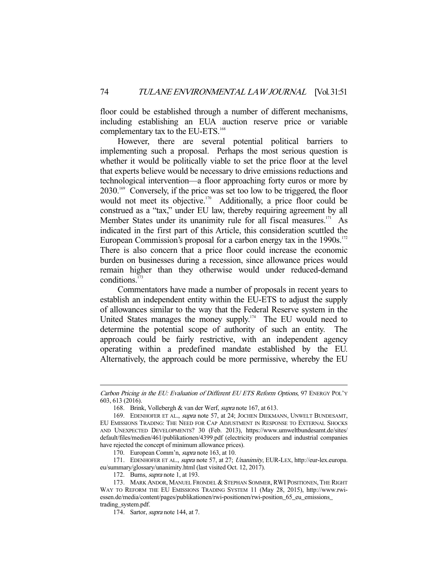floor could be established through a number of different mechanisms, including establishing an EUA auction reserve price or variable complementary tax to the EU-ETS.<sup>168</sup>

 However, there are several potential political barriers to implementing such a proposal. Perhaps the most serious question is whether it would be politically viable to set the price floor at the level that experts believe would be necessary to drive emissions reductions and technological intervention—a floor approaching forty euros or more by 2030.169 Conversely, if the price was set too low to be triggered, the floor would not meet its objective.<sup>170</sup> Additionally, a price floor could be construed as a "tax," under EU law, thereby requiring agreement by all Member States under its unanimity rule for all fiscal measures.<sup>171</sup> As indicated in the first part of this Article, this consideration scuttled the European Commission's proposal for a carbon energy tax in the 1990s.<sup>172</sup> There is also concern that a price floor could increase the economic burden on businesses during a recession, since allowance prices would remain higher than they otherwise would under reduced-demand conditions.173

 Commentators have made a number of proposals in recent years to establish an independent entity within the EU-ETS to adjust the supply of allowances similar to the way that the Federal Reserve system in the United States manages the money supply.<sup>174</sup> The EU would need to determine the potential scope of authority of such an entity. The approach could be fairly restrictive, with an independent agency operating within a predefined mandate established by the EU. Alternatively, the approach could be more permissive, whereby the EU

170. European Comm'n, supra note 163, at 10.

171. EDENHOFER ET AL., supra note 57, at 27; Unanimity, EUR-LEX, http://eur-lex.europa. eu/summary/glossary/unanimity.html (last visited Oct. 12, 2017).

172. Burns, supra note 1, at 193.

Carbon Pricing in the EU: Evaluation of Different EU ETS Reform Options, 97 ENERGY POL'Y 603, 613 (2016).

 <sup>168.</sup> Brink, Vollebergh & van der Werf, supra note 167, at 613.

<sup>169.</sup> EDENHOFER ET AL., *supra* note 57, at 24; JOCHEN DIEKMANN, UNWELT BUNDESAMT, EU EMISSIONS TRADING: THE NEED FOR CAP ADJUSTMENT IN RESPONSE TO EXTERNAL SHOCKS AND UNEXPECTED DEVELOPMENTS? 30 (Feb. 2013), https://www.umweltbundesamt.de/sites/ default/files/medien/461/publikationen/4399.pdf (electricity producers and industrial companies have rejected the concept of minimum allowance prices).

<sup>173.</sup> MARK ANDOR, MANUEL FRONDEL & STEPHAN SOMMER, RWI POSITIONEN, THE RIGHT WAY TO REFORM THE EU EMISSIONS TRADING SYSTEM 11 (May 28, 2015), http://www.rwiessen.de/media/content/pages/publikationen/rwi-positionen/rwi-position\_65\_eu\_emissions\_ trading\_system.pdf.

 <sup>174.</sup> Sartor, supra note 144, at 7.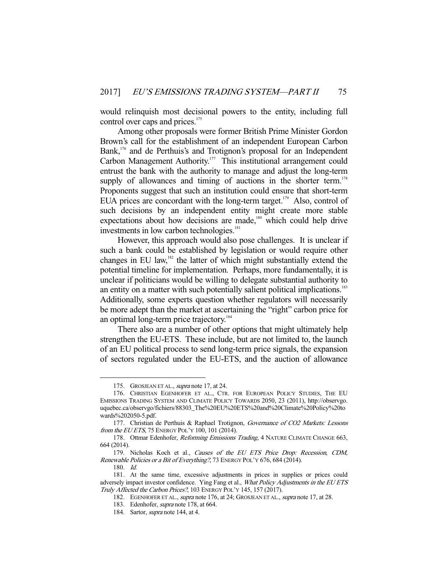would relinquish most decisional powers to the entity, including full control over caps and prices.<sup>175</sup>

 Among other proposals were former British Prime Minister Gordon Brown's call for the establishment of an independent European Carbon Bank,<sup>176</sup> and de Perthuis's and Trotignon's proposal for an Independent Carbon Management Authority.<sup>177</sup> This institutional arrangement could entrust the bank with the authority to manage and adjust the long-term supply of allowances and timing of auctions in the shorter term.<sup>178</sup> Proponents suggest that such an institution could ensure that short-term EUA prices are concordant with the long-term target.<sup>179</sup> Also, control of such decisions by an independent entity might create more stable expectations about how decisions are made,<sup>180</sup> which could help drive investments in low carbon technologies.<sup>181</sup>

 However, this approach would also pose challenges. It is unclear if such a bank could be established by legislation or would require other changes in EU law, $182$  the latter of which might substantially extend the potential timeline for implementation. Perhaps, more fundamentally, it is unclear if politicians would be willing to delegate substantial authority to an entity on a matter with such potentially salient political implications.<sup>183</sup> Additionally, some experts question whether regulators will necessarily be more adept than the market at ascertaining the "right" carbon price for an optimal long-term price trajectory.<sup>184</sup>

 There also are a number of other options that might ultimately help strengthen the EU-ETS. These include, but are not limited to, the launch of an EU political process to send long-term price signals, the expansion of sectors regulated under the EU-ETS, and the auction of allowance

<sup>175.</sup> GROSJEAN ET AL., *supra* note 17, at 24.

 <sup>176.</sup> CHRISTIAN EGENHOFER ET AL., CTR. FOR EUROPEAN POLICY STUDIES, THE EU EMISSIONS TRADING SYSTEM AND CLIMATE POLICY TOWARDS 2050, 23 (2011), http://observgo. uquebec.ca/observgo/fichiers/88303\_The%20EU%20ETS%20and%20Climate%20Policy%20to wards%202050-5.pdf.

<sup>177.</sup> Christian de Perthuis & Raphael Trotignon, Governance of CO2 Markets: Lessons from the EU ETS, 75 ENERGY POL'Y 100, 101 (2014).

<sup>178.</sup> Ottmar Edenhofer, Reforming Emissions Trading, 4 NATURE CLIMATE CHANGE 663, 664 (2014).

<sup>179.</sup> Nicholas Koch et al., Causes of the EU ETS Price Drop: Recession, CDM, Renewable Policies or a Bit of Everything?, 73 ENERGY POL'Y 676, 684 (2014).

 <sup>180.</sup> Id.

 <sup>181.</sup> At the same time, excessive adjustments in prices in supplies or prices could adversely impact investor confidence. Ying Fang et al., What Policy Adjustments in the EU ETS Truly Affected the Carbon Prices?, 103 ENERGY POL'Y 145, 157 (2017).

<sup>182.</sup> EGENHOFER ET AL., *supra* note 176, at 24; GROSJEAN ET AL., *supra* note 17, at 28.

 <sup>183.</sup> Edenhofer, supra note 178, at 664.

 <sup>184.</sup> Sartor, supra note 144, at 4.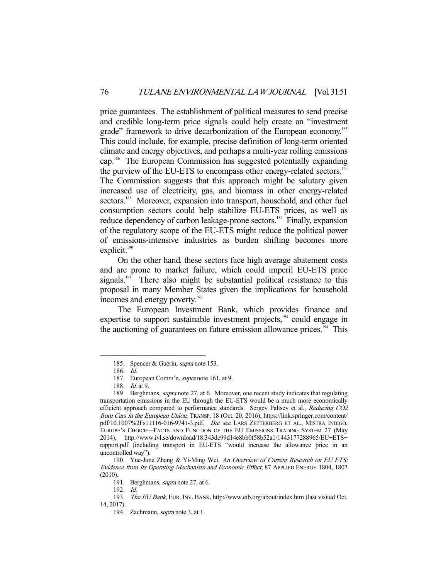price guarantees. The establishment of political measures to send precise and credible long-term price signals could help create an "investment grade" framework to drive decarbonization of the European economy.<sup>185</sup> This could include, for example, precise definition of long-term oriented climate and energy objectives, and perhaps a multi-year rolling emissions cap.186 The European Commission has suggested potentially expanding the purview of the EU-ETS to encompass other energy-related sectors.<sup>187</sup> The Commission suggests that this approach might be salutary given increased use of electricity, gas, and biomass in other energy-related sectors.<sup>188</sup> Moreover, expansion into transport, household, and other fuel consumption sectors could help stabilize EU-ETS prices, as well as reduce dependency of carbon leakage-prone sectors.<sup>189</sup> Finally, expansion of the regulatory scope of the EU-ETS might reduce the political power of emissions-intensive industries as burden shifting becomes more explicit.<sup>190</sup>

 On the other hand, these sectors face high average abatement costs and are prone to market failure, which could imperil EU-ETS price signals.<sup>191</sup> There also might be substantial political resistance to this proposal in many Member States given the implications for household incomes and energy poverty.<sup>192</sup>

 The European Investment Bank, which provides finance and expertise to support sustainable investment projects,<sup>193</sup> could engage in the auctioning of guarantees on future emission allowance prices.<sup>194</sup> This

<sup>185.</sup> Spencer & Guérin, supra note 153.

 <sup>186.</sup> Id.

 <sup>187.</sup> European Comm'n, supra note 161, at 9.

<sup>188.</sup> *Id.* at 9.

<sup>189.</sup> Berghmans, *supra* note 27, at 6. Moreover, one recent study indicates that regulating transportation emissions in the EU through the EU-ETS would be a much more economically efficient approach compared to performance standards. Sergey Paltsev et al., Reducing CO2 from Cars in the European Union, TRANSP. 18 (Oct. 20, 2016), https://link.springer.com/content/ pdf/10.1007%2Fs11116-016-9741-3.pdf. But see LARS ZETTERBERG ET AL., MISTRA INDIGO, EUROPE'S CHOICE—FACTS AND FUNCTION OF THE EU EMISSIONS TRADING SYSTEM 27 (May 2014), http://www.ivl.se/download/18.343dc99d14e8bb0f58b52a1/1443177288965/EU+ETS+ rapport.pdf (including transport in EU-ETS "would increase the allowance price in an uncontrolled way").

<sup>190.</sup> Yue-June Zhang & Yi-Ming Wei, An Overview of Current Research on EU ETS: Evidence from Its Operating Mechanism and Economic Effect, 87 APPLIED ENERGY 1804, 1807 (2010).

 <sup>191.</sup> Berghmans, supra note 27, at 6.

 <sup>192.</sup> Id.

<sup>193.</sup> The EU Bank, EUR. INV. BANK, http://www.eib.org/about/index.htm (last visited Oct. 14, 2017).

 <sup>194.</sup> Zachmann, supra note 3, at 1.